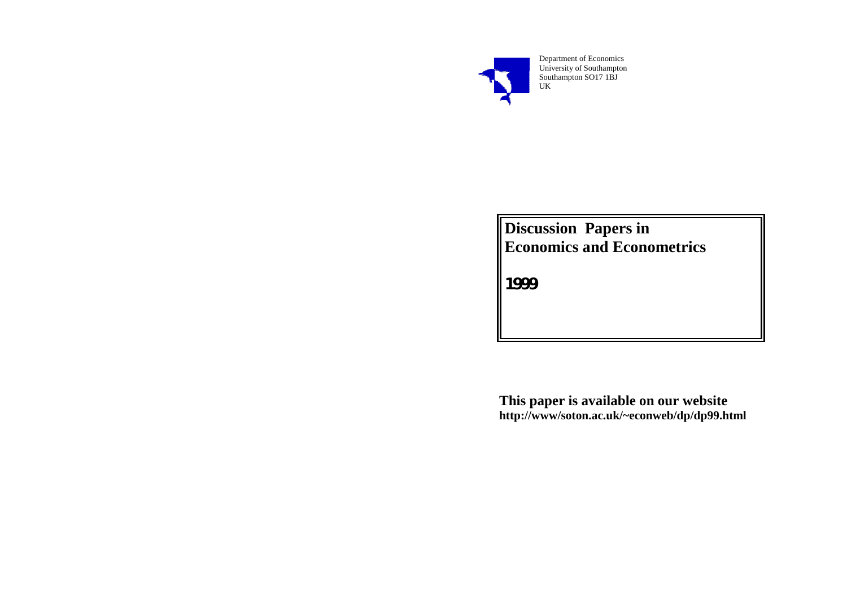

Department of Economics University of Southampton Southampton SO17 1BJ UK

**Discussion Papers in Economics and Econometrics** 

**1999** 

**This paper is available on our website http://www/soton.ac.uk/~econweb/dp/dp99.html**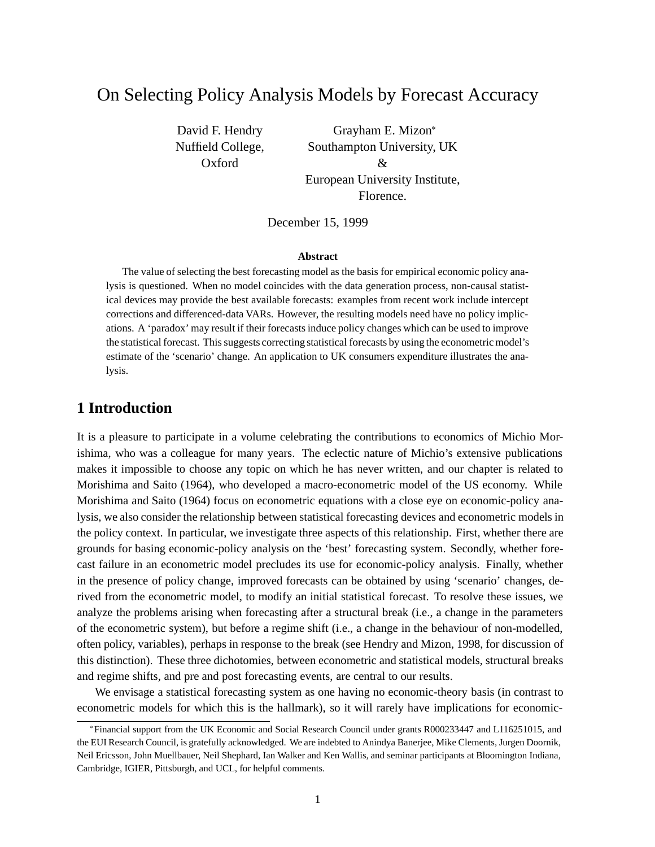# On Selecting Policy Analysis Models by Forecast Accuracy

David F. Hendry Nuffield College, Oxford

Grayham E. Mizon Southampton University, UK & European University Institute, Florence.

December 15, 1999

#### **Abstract**

The value of selecting the best forecasting model as the basis for empirical economic policy analysis is questioned. When no model coincides with the data generation process, non-causal statistical devices may provide the best available forecasts: examples from recent work include intercept corrections and differenced-data VARs. However, the resulting models need have no policy implications. A 'paradox' may result if their forecasts induce policy changes which can be used to improve the statistical forecast. This suggests correcting statistical forecasts by using the econometric model's estimate of the 'scenario' change. An application to UK consumers expenditure illustrates the analysis.

## **1 Introduction**

It is a pleasure to participate in a volume celebrating the contributions to economics of Michio Morishima, who was a colleague for many years. The eclectic nature of Michio's extensive publications makes it impossible to choose any topic on which he has never written, and our chapter is related to Morishima and Saito (1964), who developed a macro-econometric model of the US economy. While Morishima and Saito (1964) focus on econometric equations with a close eye on economic-policy analysis, we also consider the relationship between statistical forecasting devices and econometric models in the policy context. In particular, we investigate three aspects of this relationship. First, whether there are grounds for basing economic-policy analysis on the 'best' forecasting system. Secondly, whether forecast failure in an econometric model precludes its use for economic-policy analysis. Finally, whether in the presence of policy change, improved forecasts can be obtained by using 'scenario' changes, derived from the econometric model, to modify an initial statistical forecast. To resolve these issues, we analyze the problems arising when forecasting after a structural break (i.e., a change in the parameters of the econometric system), but before a regime shift (i.e., a change in the behaviour of non-modelled, often policy, variables), perhaps in response to the break (see Hendry and Mizon, 1998, for discussion of this distinction). These three dichotomies, between econometric and statistical models, structural breaks and regime shifts, and pre and post forecasting events, are central to our results.

We envisage a statistical forecasting system as one having no economic-theory basis (in contrast to econometric models for which this is the hallmark), so it will rarely have implications for economic-

Financial support from the UK Economic and Social Research Council under grants R000233447 and L116251015, and the EUI Research Council, is gratefully acknowledged. We are indebted to Anindya Banerjee, Mike Clements, Jurgen Doornik, Neil Ericsson, John Muellbauer, Neil Shephard, Ian Walker and Ken Wallis, and seminar participants at Bloomington Indiana, Cambridge, IGIER, Pittsburgh, and UCL, for helpful comments.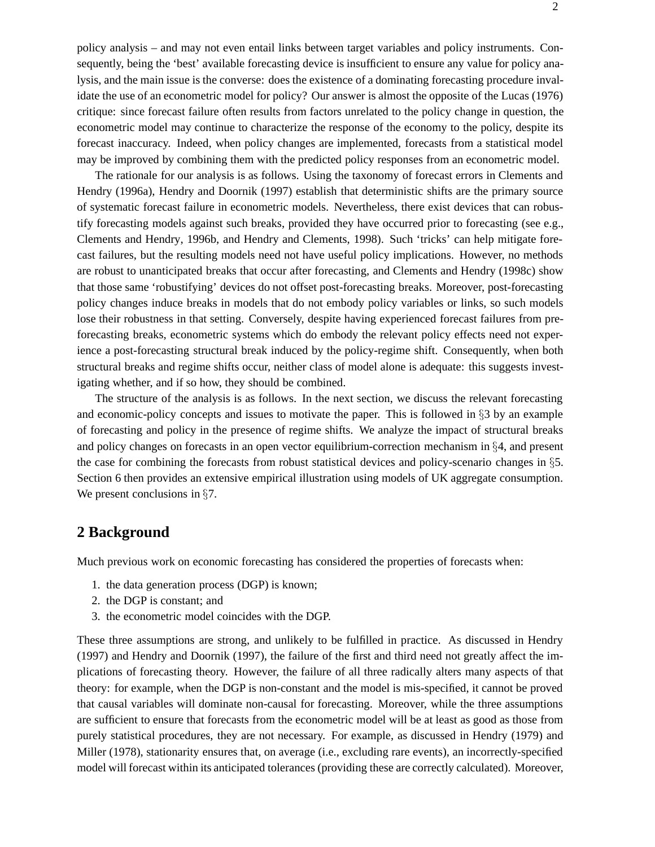policy analysis – and may not even entail links between target variables and policy instruments. Consequently, being the 'best' available forecasting device is insufficient to ensure any value for policy analysis, and the main issue is the converse: does the existence of a dominating forecasting procedure invalidate the use of an econometric model for policy? Our answer is almost the opposite of the Lucas (1976) critique: since forecast failure often results from factors unrelated to the policy change in question, the econometric model may continue to characterize the response of the economy to the policy, despite its forecast inaccuracy. Indeed, when policy changes are implemented, forecasts from a statistical model may be improved by combining them with the predicted policy responses from an econometric model.

The rationale for our analysis is as follows. Using the taxonomy of forecast errors in Clements and Hendry (1996a), Hendry and Doornik (1997) establish that deterministic shifts are the primary source of systematic forecast failure in econometric models. Nevertheless, there exist devices that can robustify forecasting models against such breaks, provided they have occurred prior to forecasting (see e.g., Clements and Hendry, 1996b, and Hendry and Clements, 1998). Such 'tricks' can help mitigate forecast failures, but the resulting models need not have useful policy implications. However, no methods are robust to unanticipated breaks that occur after forecasting, and Clements and Hendry (1998c) show that those same 'robustifying' devices do not offset post-forecasting breaks. Moreover, post-forecasting policy changes induce breaks in models that do not embody policy variables or links, so such models lose their robustness in that setting. Conversely, despite having experienced forecast failures from preforecasting breaks, econometric systems which do embody the relevant policy effects need not experience a post-forecasting structural break induced by the policy-regime shift. Consequently, when both structural breaks and regime shifts occur, neither class of model alone is adequate: this suggests investigating whether, and if so how, they should be combined.

The structure of the analysis is as follows. In the next section, we discuss the relevant forecasting and economic-policy concepts and issues to motivate the paper. This is followed in  $\S$ 3 by an example of forecasting and policy in the presence of regime shifts. We analyze the impact of structural breaks and policy changes on forecasts in an open vector equilibrium-correction mechanism in  $\S 4$ , and present the case for combining the forecasts from robust statistical devices and policy-scenario changes in  $\S$ . Section 6 then provides an extensive empirical illustration using models of UK aggregate consumption. We present conclusions in  $\S7$ .

## **2 Background**

Much previous work on economic forecasting has considered the properties of forecasts when:

- 1. the data generation process (DGP) is known;
- 2. the DGP is constant; and
- 3. the econometric model coincides with the DGP.

These three assumptions are strong, and unlikely to be fulfilled in practice. As discussed in Hendry (1997) and Hendry and Doornik (1997), the failure of the first and third need not greatly affect the implications of forecasting theory. However, the failure of all three radically alters many aspects of that theory: for example, when the DGP is non-constant and the model is mis-specified, it cannot be proved that causal variables will dominate non-causal for forecasting. Moreover, while the three assumptions are sufficient to ensure that forecasts from the econometric model will be at least as good as those from purely statistical procedures, they are not necessary. For example, as discussed in Hendry (1979) and Miller (1978), stationarity ensures that, on average (i.e., excluding rare events), an incorrectly-specified model will forecast within its anticipated tolerances (providing these are correctly calculated). Moreover,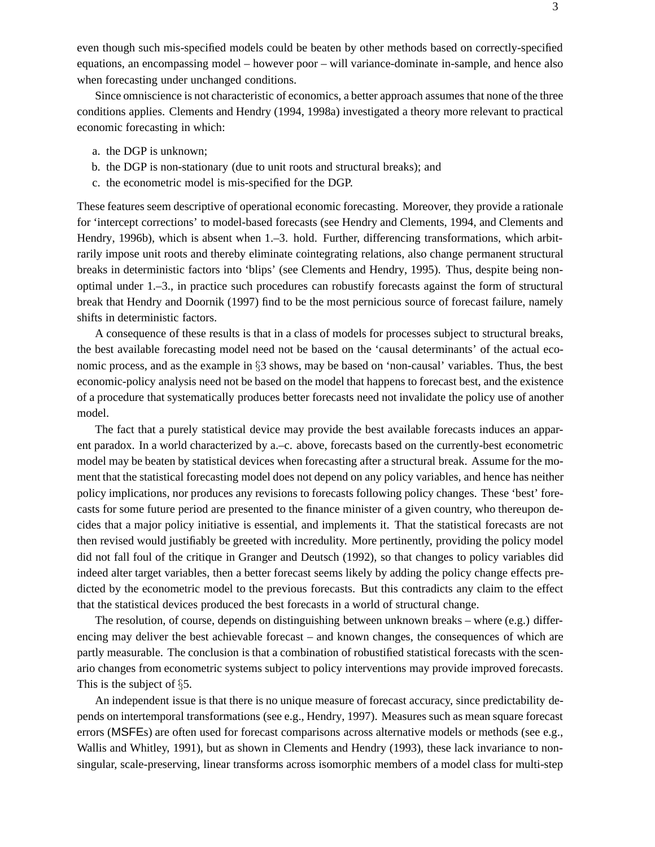even though such mis-specified models could be beaten by other methods based on correctly-specified equations, an encompassing model – however poor – will variance-dominate in-sample, and hence also when forecasting under unchanged conditions.

Since omniscience is not characteristic of economics, a better approach assumes that none of the three conditions applies. Clements and Hendry (1994, 1998a) investigated a theory more relevant to practical economic forecasting in which:

- a. the DGP is unknown;
- b. the DGP is non-stationary (due to unit roots and structural breaks); and
- c. the econometric model is mis-specified for the DGP.

These features seem descriptive of operational economic forecasting. Moreover, they provide a rationale for 'intercept corrections' to model-based forecasts (see Hendry and Clements, 1994, and Clements and Hendry, 1996b), which is absent when 1.–3. hold. Further, differencing transformations, which arbitrarily impose unit roots and thereby eliminate cointegrating relations, also change permanent structural breaks in deterministic factors into 'blips' (see Clements and Hendry, 1995). Thus, despite being nonoptimal under 1.–3., in practice such procedures can robustify forecasts against the form of structural break that Hendry and Doornik (1997) find to be the most pernicious source of forecast failure, namely shifts in deterministic factors.

A consequence of these results is that in a class of models for processes subject to structural breaks, the best available forecasting model need not be based on the 'causal determinants' of the actual economic process, and as the example in  $\S$ 3 shows, may be based on 'non-causal' variables. Thus, the best economic-policy analysis need not be based on the model that happens to forecast best, and the existence of a procedure that systematically produces better forecasts need not invalidate the policy use of another model.

The fact that a purely statistical device may provide the best available forecasts induces an apparent paradox. In a world characterized by a.–c. above, forecasts based on the currently-best econometric model may be beaten by statistical devices when forecasting after a structural break. Assume for the moment that the statistical forecasting model does not depend on any policy variables, and hence has neither policy implications, nor produces any revisions to forecasts following policy changes. These 'best' forecasts for some future period are presented to the finance minister of a given country, who thereupon decides that a major policy initiative is essential, and implements it. That the statistical forecasts are not then revised would justifiably be greeted with incredulity. More pertinently, providing the policy model did not fall foul of the critique in Granger and Deutsch (1992), so that changes to policy variables did indeed alter target variables, then a better forecast seems likely by adding the policy change effects predicted by the econometric model to the previous forecasts. But this contradicts any claim to the effect that the statistical devices produced the best forecasts in a world of structural change.

The resolution, of course, depends on distinguishing between unknown breaks – where (e.g.) differencing may deliver the best achievable forecast – and known changes, the consequences of which are partly measurable. The conclusion is that a combination of robustified statistical forecasts with the scenario changes from econometric systems subject to policy interventions may provide improved forecasts. This is the subject of  $\S 5$ .

An independent issue is that there is no unique measure of forecast accuracy, since predictability depends on intertemporal transformations (see e.g., Hendry, 1997). Measures such as mean square forecast errors (MSFEs) are often used for forecast comparisons across alternative models or methods (see e.g., Wallis and Whitley, 1991), but as shown in Clements and Hendry (1993), these lack invariance to nonsingular, scale-preserving, linear transforms across isomorphic members of a model class for multi-step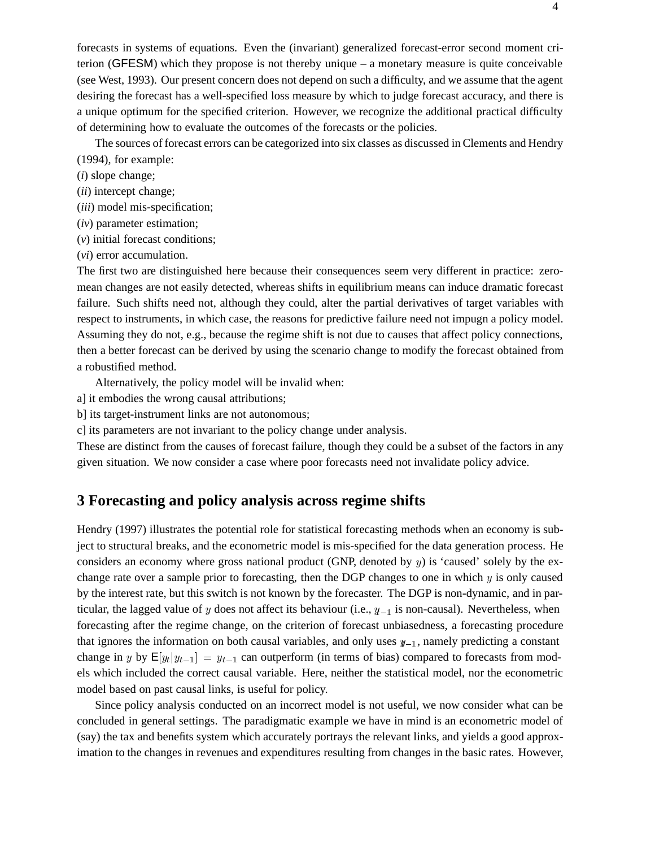forecasts in systems of equations. Even the (invariant) generalized forecast-error second moment criterion (GFESM) which they propose is not thereby unique – a monetary measure is quite conceivable (see West, 1993). Our present concern does not depend on such a difficulty, and we assume that the agent desiring the forecast has a well-specified loss measure by which to judge forecast accuracy, and there is a unique optimum for the specified criterion. However, we recognize the additional practical difficulty of determining how to evaluate the outcomes of the forecasts or the policies.

The sources of forecast errors can be categorized into six classes as discussed in Clements and Hendry (1994), for example:

- (*i*) slope change;
- (*ii*) intercept change;
- (*iii*) model mis-specification;
- (*iv*) parameter estimation;
- (*v*) initial forecast conditions;
- (*vi*) error accumulation.

The first two are distinguished here because their consequences seem very different in practice: zeromean changes are not easily detected, whereas shifts in equilibrium means can induce dramatic forecast failure. Such shifts need not, although they could, alter the partial derivatives of target variables with respect to instruments, in which case, the reasons for predictive failure need not impugn a policy model. Assuming they do not, e.g., because the regime shift is not due to causes that affect policy connections, then a better forecast can be derived by using the scenario change to modify the forecast obtained from a robustified method.

Alternatively, the policy model will be invalid when:

- a] it embodies the wrong causal attributions;
- b] its target-instrument links are not autonomous;
- c] its parameters are not invariant to the policy change under analysis.

These are distinct from the causes of forecast failure, though they could be a subset of the factors in any given situation. We now consider a case where poor forecasts need not invalidate policy advice.

## **3 Forecasting and policy analysis across regime shifts**

Hendry (1997) illustrates the potential role for statistical forecasting methods when an economy is subject to structural breaks, and the econometric model is mis-specified for the data generation process. He considers an economy where gross national product (GNP, denoted by  $y$ ) is 'caused' solely by the exchange rate over a sample prior to forecasting, then the DGP changes to one in which  $y$  is only caused by the interest rate, but this switch is not known by the forecaster. The DGP is non-dynamic, and in particular, the lagged value of y does not affect its behaviour (i.e.,  $y_{-1}$  is non-causal). Nevertheless, when forecasting after the regime change, on the criterion of forecast unbiasedness, a forecasting procedure that ignores the information on both causal variables, and only uses  $y_{-1}$ , namely predicting a constant change in y by  $E[y_t|y_{t-1}] = y_{t-1}$  can outperform (in terms of bias) compared to forecasts from models which included the correct causal variable. Here, neither the statistical model, nor the econometric model based on past causal links, is useful for policy.

Since policy analysis conducted on an incorrect model is not useful, we now consider what can be concluded in general settings. The paradigmatic example we have in mind is an econometric model of (say) the tax and benefits system which accurately portrays the relevant links, and yields a good approximation to the changes in revenues and expenditures resulting from changes in the basic rates. However,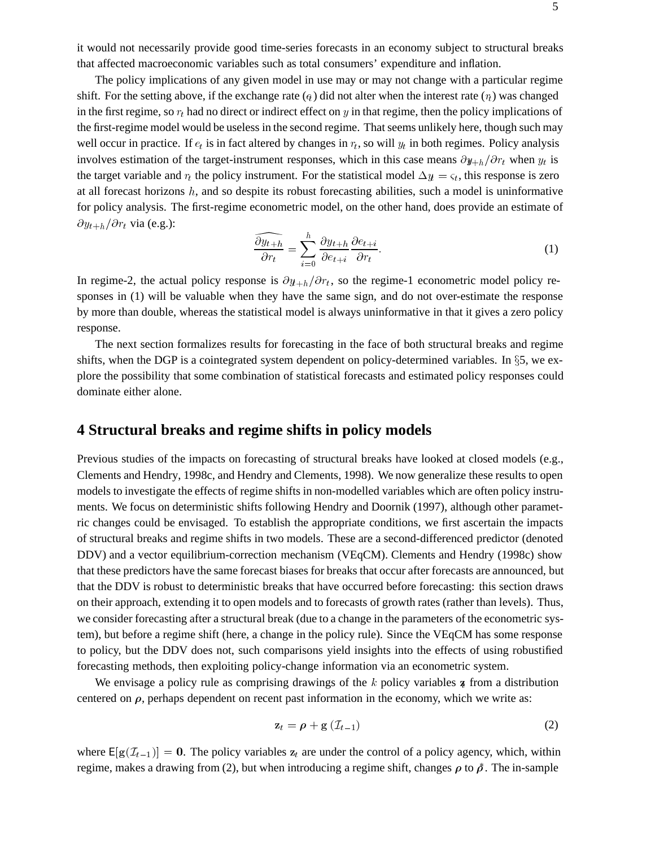it would not necessarily provide good time-series forecasts in an economy subject to structural breaks that affected macroeconomic variables such as total consumers' expenditure and inflation.

The policy implications of any given model in use may or may not change with a particular regime shift. For the setting above, if the exchange rate  $(q)$  did not alter when the interest rate  $(r_t)$  was changed in the first regime, so  $r_t$  had no direct or indirect effect on y in that regime, then the policy implications of the first-regime model would be useless in the second regime. That seems unlikely here, though such may well occur in practice. If  $e_t$  is in fact altered by changes in  $r_t$ , so will  $y_t$  in both regimes. Policy analysis involves estimation of the target-instrument responses, which in this case means  $\partial y_{+h}/\partial r_t$  when  $y_t$  is the target variable and  $r_t$  the policy instrument. For the statistical model  $\Delta y_t = \varsigma_t$ , this response is zero at all forecast horizons  $h$ , and so despite its robust forecasting abilities, such a model is uninformative for policy analysis. The first-regime econometric model, on the other hand, does provide an estimate of  $\partial y_{t+h}/\partial r_t$  via (e.g.):

$$
\frac{\widehat{\partial y_{t+h}}}{\partial r_t} = \sum_{i=0}^h \frac{\partial y_{t+h}}{\partial e_{t+i}} \frac{\partial e_{t+i}}{\partial r_t}.
$$
\n(1)

In regime-2, the actual policy response is  $\partial y_{t+h}/\partial r_t$ , so the regime-1 econometric model policy responses in (1) will be valuable when they have the same sign, and do not over-estimate the response by more than double, whereas the statistical model is always uninformative in that it gives a zero policy response.

The next section formalizes results for forecasting in the face of both structural breaks and regime shifts, when the DGP is a cointegrated system dependent on policy-determined variables. In  $\S$ 5, we explore the possibility that some combination of statistical forecasts and estimated policy responses could dominate either alone.

## **4 Structural breaks and regime shifts in policy models**

Previous studies of the impacts on forecasting of structural breaks have looked at closed models (e.g., Clements and Hendry, 1998c, and Hendry and Clements, 1998). We now generalize these results to open models to investigate the effects of regime shifts in non-modelled variables which are often policy instruments. We focus on deterministic shifts following Hendry and Doornik (1997), although other parametric changes could be envisaged. To establish the appropriate conditions, we first ascertain the impacts of structural breaks and regime shifts in two models. These are a second-differenced predictor (denoted DDV) and a vector equilibrium-correction mechanism (VEqCM). Clements and Hendry (1998c) show that these predictors have the same forecast biases for breaks that occur after forecasts are announced, but that the DDV is robust to deterministic breaks that have occurred before forecasting: this section draws on their approach, extending it to open models and to forecasts of growth rates (rather than levels). Thus, we consider forecasting after a structural break (due to a change in the parameters of the econometric system), but before a regime shift (here, a change in the policy rule). Since the VEqCM has some response to policy, but the DDV does not, such comparisons yield insights into the effects of using robustified forecasting methods, then exploiting policy-change information via an econometric system.

We envisage a policy rule as comprising drawings of the  $k$  policy variables  $\boldsymbol{\tau}$  from a distribution centered on  $\rho$ , perhaps dependent on recent past information in the economy, which we write as:

$$
\mathbf{z}_t = \boldsymbol{\rho} + \mathbf{g} \left( \mathcal{I}_{t-1} \right) \tag{2}
$$

where  $E[g(\mathcal{I}_{t-1})] = 0$ . The policy variables  $z_t$  are under the control of a policy agency, which, within regime, makes a drawing from (2), but when introducing a regime shift, changes  $\rho$  to  $\tilde{\rho}$ . The in-sample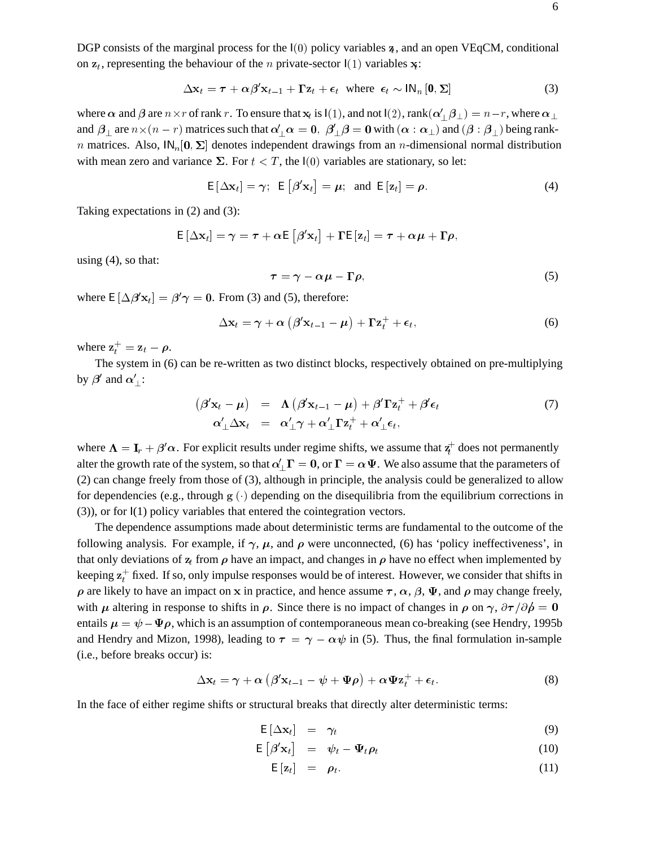6

DGP consists of the marginal process for the  $I(0)$  policy variables z, and an open VEqCM, conditional on  $z_t$ , representing the behaviour of the *n* private-sector  $I(1)$  variables  $x$ .

$$
\Delta \mathbf{x}_t = \boldsymbol{\tau} + \alpha \boldsymbol{\beta}' \mathbf{x}_{t-1} + \boldsymbol{\Gamma} \mathbf{z}_t + \boldsymbol{\epsilon}_t \text{ where } \boldsymbol{\epsilon}_t \sim \mathsf{IN}_n \left[ \mathbf{0}, \boldsymbol{\Sigma} \right]
$$
 (3)

where  $\alpha$  and  $\beta$  are  $n \times r$  of rank  $r$ . To ensure that  $\bf{x}_t$  is  $I(1)$ , and not  $I(2)$ ,  $\mathrm{rank}(\alpha'_\perp \beta_\perp)=n-r$  , where  $\alpha_\perp$ and  $\beta_\perp$  are  $n \times (n-r)$  matrices such that  $\alpha'_\perp\alpha=0,~\beta'_\perp\beta=0$  with  $(\alpha:\alpha_\perp)$  and  $(\beta:\beta_\perp)$  being rankn matrices. Also,  $\mathsf{IN}_n[\mathbf{0}, \Sigma]$  denotes independent drawings from an n-dimensional normal distribution with mean zero and variance  $\Sigma$ . For  $t < T$ , the  $I(0)$  variables are stationary, so let:

$$
\mathsf{E}\left[\Delta \mathbf{x}_t\right] = \gamma; \ \mathsf{E}\left[\beta' \mathbf{x}_t\right] = \mu; \ \text{and} \ \mathsf{E}\left[\mathbf{z}_t\right] = \rho. \tag{4}
$$

Taking expectations in (2) and (3):

$$
\mathsf{E}\left[\Delta \mathbf{x}_t\right] = \gamma = \boldsymbol{\tau} + \alpha \mathsf{E}\left[\beta' \mathbf{x}_t\right] + \Gamma \mathsf{E}\left[\mathbf{z}_t\right] = \boldsymbol{\tau} + \alpha \boldsymbol{\mu} + \Gamma \boldsymbol{\rho},
$$

using  $(4)$ , so that:

$$
\tau = \gamma - \alpha \mu - \Gamma \rho, \tag{5}
$$

where  $E[\Delta \beta' x_t] = \beta' \gamma = 0$ . From (3) and (5), therefore:

$$
\Delta \mathbf{x}_t = \boldsymbol{\gamma} + \boldsymbol{\alpha} \left( \boldsymbol{\beta}' \mathbf{x}_{t-1} - \boldsymbol{\mu} \right) + \boldsymbol{\Gamma} \mathbf{z}_t^+ + \boldsymbol{\epsilon}_t, \tag{6}
$$

where  $z_t^+ = z_t - \rho$ .

The system in (6) can be re-written as two distinct blocks, respectively obtained on pre-multiplying by  $\beta'$  and  $\alpha'_{\perp}$ :

$$
(\beta' \mathbf{x}_t - \boldsymbol{\mu}) = \boldsymbol{\Lambda} (\beta' \mathbf{x}_{t-1} - \boldsymbol{\mu}) + \beta' \boldsymbol{\Gamma} \mathbf{z}_t^+ + \beta' \boldsymbol{\epsilon}_t
$$
  
\n
$$
\alpha'_{\perp} \Delta \mathbf{x}_t = \alpha'_{\perp} \gamma + \alpha'_{\perp} \boldsymbol{\Gamma} \mathbf{z}_t^+ + \alpha'_{\perp} \boldsymbol{\epsilon}_t,
$$
\n(7)

where  $\Lambda = I_r + \beta'\alpha$ . For explicit results under regime shifts, we assume that  $z_t^+$  does not permanently alter the growth rate of the system, so that  $\alpha'$ ,  $\Gamma = 0$ , or  $\Gamma = \alpha \Psi$ . We also assume that the parameters of (2) can change freely from those of (3), although in principle, the analysis could be generalized to allow for dependencies (e.g., through  $g(\cdot)$  depending on the disequilibria from the equilibrium corrections in (3)), or for I(1) policy variables that entered the cointegration vectors.

The dependence assumptions made about deterministic terms are fundamental to the outcome of the following analysis. For example, if  $\gamma$ ,  $\mu$ , and  $\rho$  were unconnected, (6) has 'policy ineffectiveness', in that only deviations of  $z_t$  from  $\rho$  have an impact, and changes in  $\rho$  have no effect when implemented by keeping  $\mathbf{z}_t^+$  fixed. If so, only impulse responses would be of interest. However, we consider that shifts in  $\rho$  are likely to have an impact on x in practice, and hence assume  $\tau$ ,  $\alpha$ ,  $\beta$ ,  $\Psi$ , and  $\rho$  may change freely, with  $\mu$  altering in response to shifts in  $\rho$ . Since there is no impact of changes in  $\rho$  on  $\gamma$ ,  $\partial \tau / \partial \rho = 0$ entails  $\mu = \psi - \Psi \rho$ , which is an assumption of contemporaneous mean co-breaking (see Hendry, 1995b) and Hendry and Mizon, 1998), leading to  $\tau = \gamma - \alpha \psi$  in (5). Thus, the final formulation in-sample (i.e., before breaks occur) is:

$$
\Delta \mathbf{x}_t = \gamma + \alpha \left( \beta' \mathbf{x}_{t-1} - \psi + \Psi \rho \right) + \alpha \Psi \mathbf{z}_t^+ + \epsilon_t. \tag{8}
$$

In the face of either regime shifts or structural breaks that directly alter deterministic terms:

$$
E[\Delta x_t] = \gamma_t \tag{9}
$$

$$
\mathsf{E}\left[\boldsymbol{\beta}'\mathbf{x}_t\right] = \boldsymbol{\psi}_t - \boldsymbol{\Psi}_t \boldsymbol{\rho}_t \tag{10}
$$

$$
\mathsf{E}\left[\mathbf{z}_t\right] = \boldsymbol{\rho}_t. \tag{11}
$$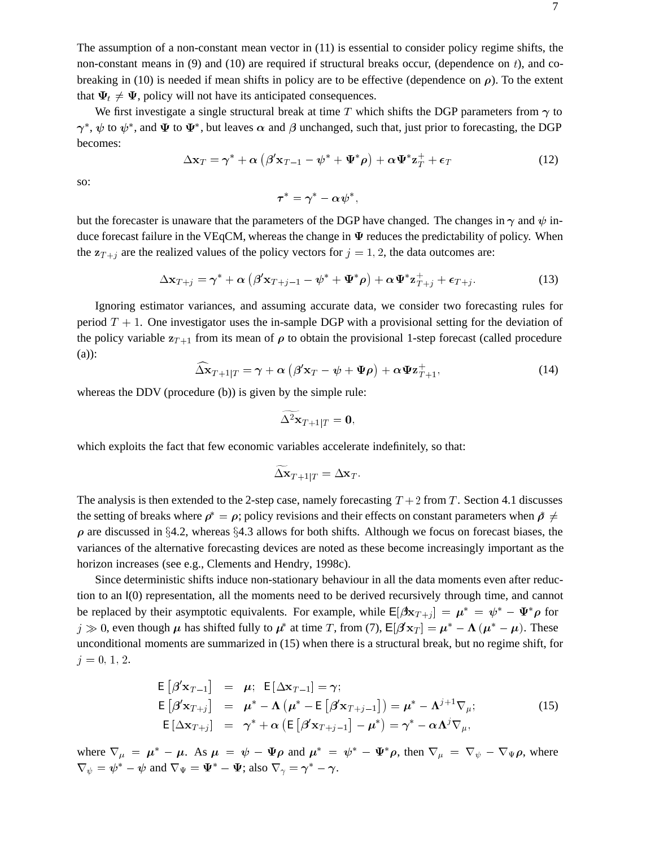The assumption of a non-constant mean vector in (11) is essential to consider policy regime shifts, the non-constant means in (9) and (10) are required if structural breaks occur, (dependence on  $t$ ), and cobreaking in (10) is needed if mean shifts in policy are to be effective (dependence on  $\rho$ ). To the extent that  $\Psi_t \neq \Psi$ , policy will not have its anticipated consequences.

We first investigate a single structural break at time T which shifts the DGP parameters from  $\gamma$  to  $\gamma^*,\psi$  to  $\psi^*,$  and  $\Psi$  to  $\Psi^*,$  but leaves  $\alpha$  and  $\beta$  unchanged, such that, just prior to forecasting, the DGP becomes:

$$
\Delta \mathbf{x}_T = \boldsymbol{\gamma}^* + \boldsymbol{\alpha} \left( \boldsymbol{\beta}' \mathbf{x}_{T-1} - \boldsymbol{\psi}^* + \boldsymbol{\Psi}^* \boldsymbol{\rho} \right) + \boldsymbol{\alpha} \boldsymbol{\Psi}^* \mathbf{z}_T^+ + \boldsymbol{\epsilon}_T \tag{12}
$$

so:

$$
\boldsymbol{\tau}^* = \boldsymbol{\gamma}^* - \boldsymbol{\alpha}\boldsymbol{\psi}^*,
$$

but the forecaster is unaware that the parameters of the DGP have changed. The changes in  $\gamma$  and  $\psi$  induce forecast failure in the VEqCM, whereas the change in  $\Psi$  reduces the predictability of policy. When the  $z_{T+j}$  are the realized values of the policy vectors for  $j = 1, 2$ , the data outcomes are:

$$
\Delta \mathbf{x}_{T+j} = \boldsymbol{\gamma}^* + \boldsymbol{\alpha} \left( \boldsymbol{\beta}' \mathbf{x}_{T+j-1} - \boldsymbol{\psi}^* + \boldsymbol{\Psi}^* \boldsymbol{\rho} \right) + \boldsymbol{\alpha} \boldsymbol{\Psi}^* \mathbf{z}_{T+j}^+ + \boldsymbol{\epsilon}_{T+j}.
$$
 (13)

Ignoring estimator variances, and assuming accurate data, we consider two forecasting rules for period  $T + 1$ . One investigator uses the in-sample DGP with a provisional setting for the deviation of the policy variable  $z_{T+1}$  from its mean of  $\rho$  to obtain the provisional 1-step forecast (called procedure (a)):

$$
\widehat{\Delta} \mathbf{x}_{T+1|T} = \gamma + \alpha \left( \beta' \mathbf{x}_T - \psi + \Psi \rho \right) + \alpha \Psi \mathbf{z}_{T+1}^+, \tag{14}
$$

whereas the DDV (procedure (b)) is given by the simple rule:

$$
\widetilde{\Delta^2} \mathbf{x}_{T+1|T} = \mathbf{0},
$$

which exploits the fact that few economic variables accelerate indefinitely, so that:

$$
\widetilde{\Delta \mathbf{x}}_{T+1|T} = \Delta \mathbf{x}_T.
$$

The analysis is then extended to the 2-step case, namely forecasting  $T + 2$  from T. Section 4.1 discusses the setting of breaks where  $\rho^* = \rho$ ; policy revisions and their effects on constant parameters when  $\rho \neq$  $\rho$  are discussed in §4.2, whereas §4.3 allows for both shifts. Although we focus on forecast biases, the variances of the alternative forecasting devices are noted as these become increasingly important as the horizon increases (see e.g., Clements and Hendry, 1998c).

Since deterministic shifts induce non-stationary behaviour in all the data moments even after reduction to an I(0) representation, all the moments need to be derived recursively through time, and cannot be replaced by their asymptotic equivalents. For example, while  $E[\beta x_{T+i}] = \mu^* = \psi^* - \Psi^* \rho$  for  $j \gg 0$ , even though  $\mu$  has shifted fully to  $\mu^*$  at time T, from (7),  $E[\beta' x_T] = \mu^* - \Lambda (\mu^* - \mu)$ . These unconditional moments are summarized in (15) when there is a structural break, but no regime shift, for  $j = 0, 1, 2.$ 

$$
\mathsf{E}\left[\beta' \mathbf{x}_{T-1}\right] = \mu; \quad \mathsf{E}[\Delta \mathbf{x}_{T-1}] = \gamma; \n\mathsf{E}\left[\beta' \mathbf{x}_{T+j}\right] = \mu^* - \Lambda \left(\mu^* - \mathsf{E}\left[\beta' \mathbf{x}_{T+j-1}\right]\right) = \mu^* - \Lambda^{j+1} \nabla_{\mu}; \n\mathsf{E}[\Delta \mathbf{x}_{T+j}] = \gamma^* + \alpha \left(\mathsf{E}\left[\beta' \mathbf{x}_{T+j-1}\right] - \mu^*\right) = \gamma^* - \alpha \Lambda^j \nabla_{\mu},
$$
\n(15)

where  $\nabla_{\mu} = \mu^* - \mu$ . As  $\mu = \psi - \Psi \rho$  and  $\mu^* = \psi^* - \Psi^* \rho$ , then  $\nabla_{\mu} = \nabla_{\psi} - \nabla_{\Psi} \rho$ , where  $\nabla_{\psi} = \psi^* - \psi$  and  $\nabla_{\Psi} = \Psi^* - \Psi$ ; also  $\nabla_{\gamma} = \gamma^* - \gamma$ .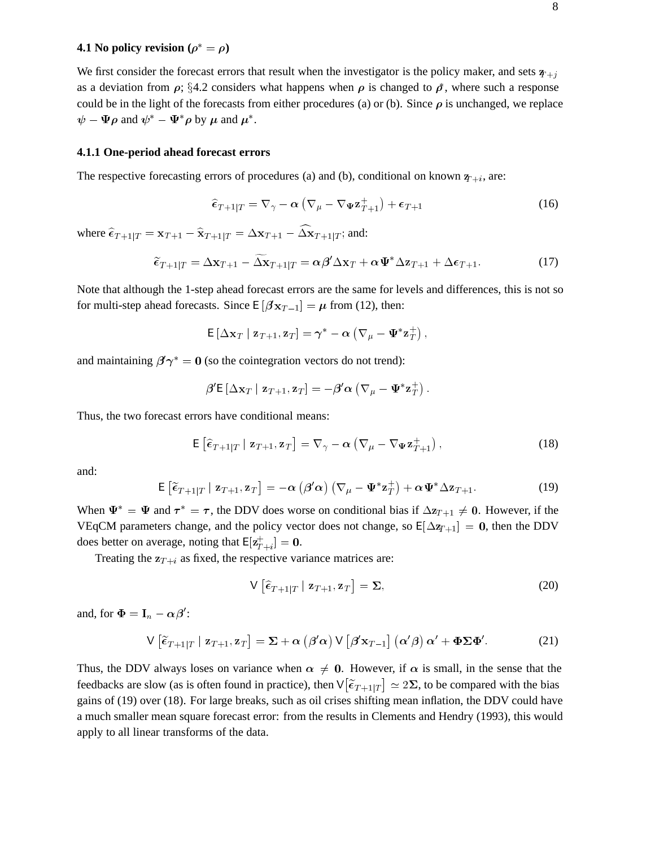## **4.1** No policy revision  $(\rho^* = \rho)$

We first consider the forecast errors that result when the investigator is the policy maker, and sets  $\psi_{+j}$ as a deviation from  $\rho$ ; §4.2 considers what happens when  $\rho$  is changed to  $\tilde{\rho}$ , where such a response could be in the light of the forecasts from either procedures (a) or (b). Since  $\rho$  is unchanged, we replace  $\psi - \Psi \rho$  and  $\psi^* - \Psi^* \rho$  by  $\mu$  and  $\mu^*$ .

#### **4.1.1 One-period ahead forecast errors**

The respective forecasting errors of procedures (a) and (b), conditional on known  $q_{t+i}$ , are:

$$
\widehat{\epsilon}_{T+1|T} = \nabla_{\gamma} - \alpha \left( \nabla_{\mu} - \nabla_{\Psi} \mathbf{z}_{T+1}^{+} \right) + \epsilon_{T+1}
$$
\n(16)

where  $\hat{\epsilon}_{T+1|T} = \mathbf{x}_{T+1} - \hat{\mathbf{x}}_{T+1|T} = \Delta \mathbf{x}_{T+1} - \hat{\Delta} \mathbf{x}_{T+1|T}$ ; and:

$$
\widetilde{\epsilon}_{T+1|T} = \Delta \mathbf{x}_{T+1} - \widetilde{\Delta \mathbf{x}}_{T+1|T} = \alpha \beta' \Delta \mathbf{x}_T + \alpha \Psi^* \Delta \mathbf{z}_{T+1} + \Delta \epsilon_{T+1}.
$$
\n(17)

Note that although the 1-step ahead forecast errors are the same for levels and differences, this is not so for multi-step ahead forecasts. Since  $E[\beta x_{T-1}] = \mu$  from (12), then:

$$
\mathsf{E}\left[\Delta \mathbf{x}_T \mid \mathbf{z}_{T+1}, \mathbf{z}_T\right] = \gamma^* - \alpha \left(\nabla_\mu - \mathbf{\Psi}^* \mathbf{z}_T^+\right),\,
$$

and maintaining  $\beta' \gamma^* = 0$  (so the cointegration vectors do not trend):

$$
\boldsymbol{\beta}'\mathsf{E}\left[\Delta\mathbf{x}_T\mid\mathbf{z}_{T+1},\mathbf{z}_T\right]=-\boldsymbol{\beta}'\boldsymbol{\alpha}\left(\nabla_\mu-\mathbf{\Psi}^*\mathbf{z}_T^+\right).
$$

Thus, the two forecast errors have conditional means:

\n
$$
\text{For a given equation,}\n \begin{aligned}\n \mathsf{E}\left[\hat{\epsilon}_{T+1|T} \mid \mathbf{z}_{T+1}, \mathbf{z}_T\right] &= \nabla_\gamma - \alpha \left(\nabla_\mu - \nabla_\Psi \mathbf{z}_{T+1}^+\right), \\
 \mathsf{E}\left[\hat{\epsilon}_{T+1|T} \mid \mathbf{z}_{T+1}, \mathbf{z}_T\right] &= -\alpha \left(\beta' \alpha\right) \left(\nabla_\mu - \Psi^* \mathbf{z}_T^+\right) + \alpha \Psi^* \Delta \mathbf{z}_{T+1}.\n \end{aligned}
$$
\n

\n\n (18)\n

and:

$$
\mathsf{E}\left[\widetilde{\epsilon}_{T+1|T} \mid \mathbf{z}_{T+1}, \mathbf{z}_T\right] = -\alpha \left(\beta' \alpha\right) \left(\nabla_{\mu} - \Psi^* \mathbf{z}_T^+\right) + \alpha \Psi^* \Delta \mathbf{z}_{T+1}.
$$
\n(19)

When  $\Psi^* = \Psi$  and  $\tau^* = \tau$ , the DDV does worse on conditional bias if  $\Delta z_{T+1} \neq 0$ . However, if the VEqCM parameters change, and the policy vector does not change, so  $E[\Delta_{T+1}] = 0$ , then the DDV does better on average, noting that  $\mathsf{E}[\mathbf{z}_{T+i}^+] = \mathbf{0}$ .

Treating the  $z_{T+i}$  as fixed, the respective variance matrices are:

$$
\mathsf{V}\left[\widehat{\boldsymbol{\epsilon}}_{T+1|T} \mid \mathbf{z}_{T+1}, \mathbf{z}_T\right] = \boldsymbol{\Sigma},\tag{20}
$$

and, for  $\mathbf{\Phi} = \mathbf{I}_n - \alpha \beta'$ :

$$
\nabla \left[ \hat{\epsilon}_{T+1|T} \mid \mathbf{z}_{T+1}, \mathbf{z}_T \right] = \Sigma, \tag{20}
$$
\n
$$
n - \alpha \beta':
$$
\n
$$
\nabla \left[ \hat{\epsilon}_{T+1|T} \mid \mathbf{z}_{T+1}, \mathbf{z}_T \right] = \Sigma + \alpha \left( \beta' \alpha \right) \nabla \left[ \beta' \mathbf{x}_{T-1} \right] \left( \alpha' \beta \right) \alpha' + \Phi \Sigma \Phi'.
$$
\n
$$
(21)
$$

Thus, the DDV always loses on variance when  $\alpha \neq 0$ . However, if  $\alpha$  is small, in the sense that the feedbacks are slow (as is often found in practice), then  $V[\tilde{\epsilon}_{T+1|T}]\simeq 2\Sigma$ , to be compared with the bias gains of (19) over (18). For large breaks, such as oil crises shifting mean inflation, the DDV could have a much smaller mean square forecast error: from the results in Clements and Hendry (1993), this would apply to all linear transforms of the data.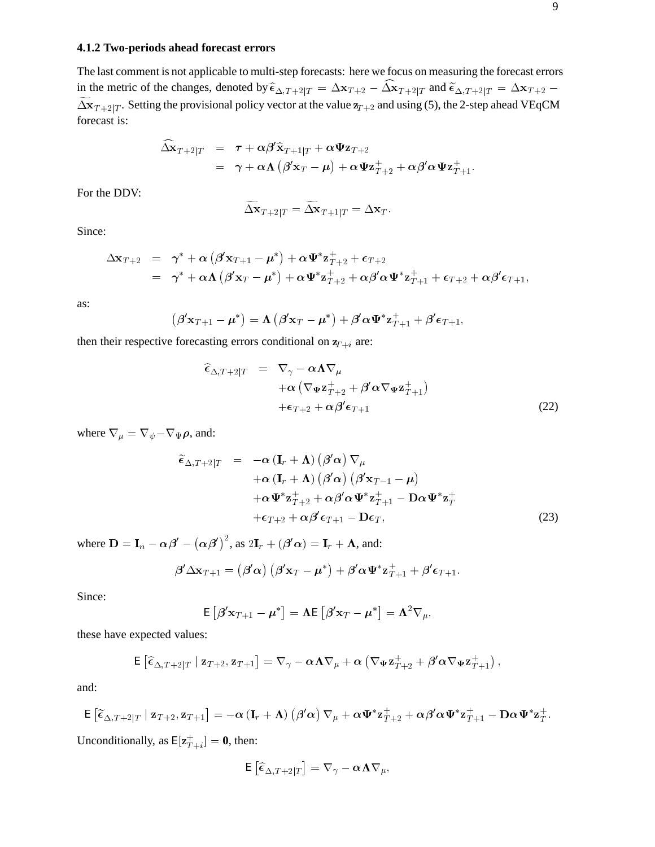## **4.1.2 Two-periods ahead forecast errors**

The last comment is not applicable to multi-step forecasts: here we focus on measuring the forecast errors in the metric of the changes, denoted by  $\hat{\epsilon}_{\Delta,T+2|T} = \Delta \mathbf{x}_{T+2} - \widehat{\Delta} \mathbf{x}_{T+2|T}$  and  $\widetilde{\epsilon}_{\Delta,T+2|T} = \Delta \mathbf{x}_{T+2}$  $\widetilde{\Delta x}_{T+2|T}$ . Setting the provisional policy vector at the value  $z_{T+2}$  and using (5), the 2-step ahead VEqCM forecast is:

$$
\begin{array}{lcl} \widehat{\Delta} \mathbf{\overline{x}}_{T+2|T} & = & \tau + \alpha \beta' \widehat{\mathbf{x}}_{T+1|T} + \alpha \Psi \mathbf{z}_{T+2} \\ & = & \gamma + \alpha \mathbf{\Lambda} \left( \beta' \mathbf{x}_T - \pmb{\mu} \right) + \alpha \Psi \mathbf{z}^+_{T+2} + \alpha \beta' \alpha \Psi \mathbf{z}^+_{T+1}. \end{array}
$$

For the DDV:

$$
\widetilde{\Delta} \mathbf{x}_{T+2|T} = \widetilde{\Delta} \mathbf{x}_{T+1|T} = \Delta \mathbf{x}_T.
$$

Since:

$$
\begin{array}{lcl} \Delta \mathbf{x}_{T+2} & = & \gamma^* + \alpha \left( \boldsymbol{\beta}' \mathbf{x}_{T+1} - \boldsymbol{\mu}^* \right) + \alpha \boldsymbol{\Psi}^* \mathbf{z}_{T+2}^+ + \boldsymbol{\epsilon}_{T+2} \\ & = & \gamma^* + \alpha \boldsymbol{\Lambda} \left( \boldsymbol{\beta}' \mathbf{x}_T - \boldsymbol{\mu}^* \right) + \alpha \boldsymbol{\Psi}^* \mathbf{z}_{T+2}^+ + \alpha \boldsymbol{\beta}' \alpha \boldsymbol{\Psi}^* \mathbf{z}_{T+1}^+ + \boldsymbol{\epsilon}_{T+2} + \alpha \boldsymbol{\beta}' \boldsymbol{\epsilon}_{T+1}, \end{array}
$$

as:

$$
(\beta' \mathbf{x}_{T+1} - \boldsymbol{\mu}^*) = \boldsymbol{\Lambda} \left( \beta' \mathbf{x}_T - \boldsymbol{\mu}^* \right) + \beta' \alpha \boldsymbol{\Psi}^* \mathbf{z}_{T+1}^+ + \beta' \boldsymbol{\epsilon}_{T+1},
$$

then their respective forecasting errors conditional on  $z_{T+i}$  are:

$$
\widehat{\epsilon}_{\Delta,T+2|T} = \nabla_{\gamma} - \alpha \Lambda \nabla_{\mu} \n+ \alpha \left( \nabla_{\Psi} \mathbf{z}_{T+2}^{+} + \beta' \alpha \nabla_{\Psi} \mathbf{z}_{T+1}^{+} \right) \n+ \epsilon_{T+2} + \alpha \beta' \epsilon_{T+1}
$$
\n(22)

where  $\nabla_{\mu} = \nabla_{\psi} - \nabla_{\Psi} \rho$ , and:

$$
+ \epsilon_{T+2} + \alpha \beta' \epsilon_{T+1}
$$
\n
$$
\varphi \rho, \text{ and:}
$$
\n
$$
\tilde{\epsilon}_{\Delta, T+2|T} = -\alpha \left( \mathbf{I}_r + \mathbf{\Lambda} \right) \left( \beta' \alpha \right) \nabla_{\mu}
$$
\n
$$
+ \alpha \left( \mathbf{I}_r + \mathbf{\Lambda} \right) \left( \beta' \alpha \right) \left( \beta' \mathbf{x}_{T-1} - \mu \right)
$$
\n
$$
+ \alpha \Psi^* \mathbf{z}_{T+2}^+ + \alpha \beta' \alpha \Psi^* \mathbf{z}_{T+1}^+ - \mathbf{D} \alpha \Psi^* \mathbf{z}_T^+
$$
\n
$$
+ \epsilon_{T+2} + \alpha \beta' \epsilon_{T+1} - \mathbf{D} \epsilon_T,
$$
\n
$$
\rho' - (\alpha \beta')^2, \text{ as } 2\mathbf{I}_r + (\beta' \alpha) = \mathbf{I}_r + \mathbf{\Lambda}, \text{ and:}
$$
\n
$$
\beta' \Delta \mathbf{x}_{T+1} = (\beta' \alpha) \left( \beta' \mathbf{x}_T - \mu^* \right) + \beta' \alpha \Psi^* \mathbf{z}_{T+1}^+ + \beta' \epsilon_{T+1}.
$$
\n(23)

where  $\mathbf{D} = \mathbf{I}_n - \alpha \beta' - (\alpha \beta')^2$ , as  $2\mathbf{I}_r + (\beta' \alpha) = \mathbf{I}_r + \mathbf{\Lambda}$ , and:

$$
\boldsymbol{\beta}' \Delta \mathbf{x}_{T+1} = \left( \boldsymbol{\beta}' \boldsymbol{\alpha} \right) \left( \boldsymbol{\beta}' \mathbf{x}_T - \boldsymbol{\mu}^* \right) + \boldsymbol{\beta}' \boldsymbol{\alpha} \boldsymbol{\Psi}^* \mathbf{z}_{T+1}^+ + \boldsymbol{\beta}' \boldsymbol{\epsilon}_{T+1}.
$$

Since:

$$
\mathsf{E}\left[\beta' \mathbf{x}_{T+1} - \boldsymbol{\mu}^*\right] = \boldsymbol{\Lambda} \mathsf{E}\left[\beta' \mathbf{x}_T - \boldsymbol{\mu}^*\right] = \boldsymbol{\Lambda}^2 \nabla_{\mu},
$$

these have expected values:

$$
\mathsf{E}\left[\widehat{\epsilon}_{\Delta,T+2|T} \mid \mathbf{z}_{T+2}, \mathbf{z}_{T+1}\right] = \nabla_{\gamma} - \alpha \mathbf{\Lambda} \nabla_{\mu} + \alpha \left(\nabla_{\Psi} \mathbf{z}_{T+2}^+ + \beta' \alpha \nabla_{\Psi} \mathbf{z}_{T+1}^+\right),
$$

and:

$$
\mathsf{E}\left[\widetilde{\epsilon}_{\Delta,T+2|T} \mid \mathbf{z}_{T+2}, \mathbf{z}_{T+1}\right] = -\alpha \left(\mathbf{I}_r + \mathbf{\Lambda}\right) \left(\beta^{\prime} \alpha\right) \nabla_{\mu} + \alpha \Psi^* \mathbf{z}_{T+2}^+ + \alpha \beta^{\prime} \alpha \Psi^* \mathbf{z}_{T+1}^+ - \mathbf{D} \alpha \Psi^* \mathbf{z}_T^+.
$$

Unconditionally, as  $E[\mathbf{z}_{T+i}^+] = \mathbf{0}$ , then:

$$
\mathsf{E}\left[\widehat{\epsilon}_{\Delta,T+2|T}\right]=\nabla_{\gamma}-\alpha\mathbf{\Lambda}\nabla_{\mu},
$$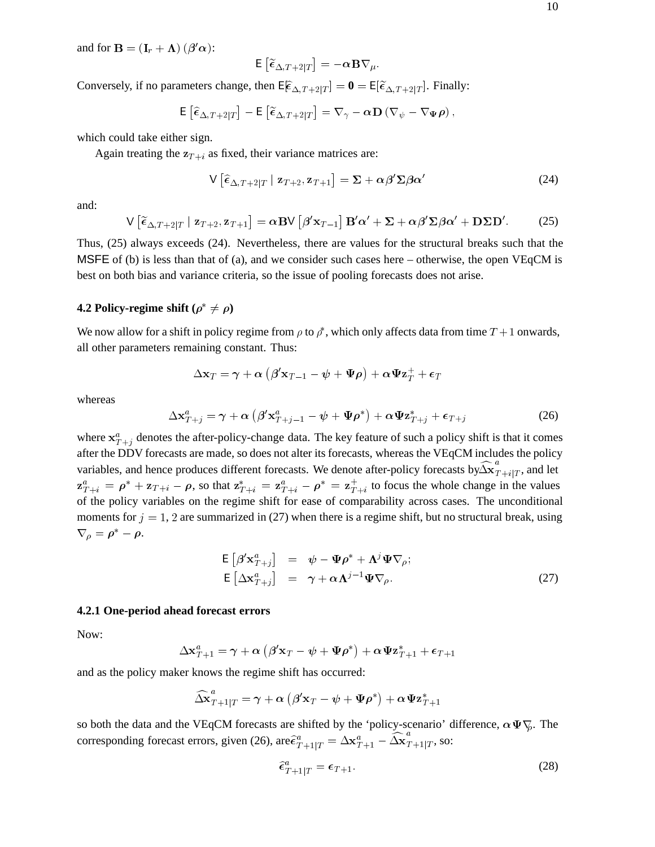and for  $\mathbf{B} = (\mathbf{I}_r + \mathbf{\Lambda}) (\boldsymbol{\beta}' \boldsymbol{\alpha})$ :

$$
\mathsf{E}\left[\widetilde{\epsilon}_{\Delta,T+2|T}\right]=-\alpha\,\mathbf{B}\nabla_{\mu}.
$$

Conversely, if no parameters change, then  $E[\hat{\epsilon}_{\Delta,T+2|T}] = \mathbf{0} = E[\tilde{\epsilon}_{\Delta,T+2|T}]$ . Finally:

$$
\mathsf{E}\left[\widehat{\epsilon}_{\Delta,T+2|T}\right]-\mathsf{E}\left[\widetilde{\epsilon}_{\Delta,T+2|T}\right]=\nabla_{\gamma}-\alpha\mathbf{D}\left(\nabla_{\psi}-\nabla_{\Psi}\rho\right),\,
$$

which could take either sign.

Again treating the  $z_{T+i}$  as fixed, their variance matrices are:

$$
\mathsf{V}\left[\widehat{\epsilon}_{\Delta,T+2|T}\mid\mathbf{z}_{T+2},\mathbf{z}_{T+1}\right]=\mathbf{\Sigma}+\alpha\beta'\mathbf{\Sigma}\beta\alpha'
$$
\n(24)

and:

$$
\mathsf{V}\left[\widetilde{\epsilon}_{\Delta,T+2|T}\mid\mathbf{z}_{T+2},\mathbf{z}_{T+1}\right]=\alpha\mathbf{BV}\left[\beta'\mathbf{x}_{T-1}\right]\mathbf{B}'\alpha'+\mathbf{\Sigma}+\alpha\beta'\mathbf{\Sigma}\beta\alpha'+\mathbf{D}\mathbf{\Sigma}\mathbf{D}'.
$$
 (25)

Thus, (25) always exceeds (24). Nevertheless, there are values for the structural breaks such that the MSFE of (b) is less than that of (a), and we consider such cases here – otherwise, the open VEqCM is best on both bias and variance criteria, so the issue of pooling forecasts does not arise.

### **4.2 Policy-regime shift** ( $\rho^* \neq \rho$ )

We now allow for a shift in policy regime from  $\rho$  to  $\rho^*$ , which only affects data from time  $T + 1$  onwards, all other parameters remaining constant. Thus:

$$
\Delta \mathbf{x}_T = \boldsymbol{\gamma} + \boldsymbol{\alpha} \left( \boldsymbol{\beta}' \mathbf{x}_{T-1} - \boldsymbol{\psi} + \boldsymbol{\Psi} \boldsymbol{\rho} \right) + \boldsymbol{\alpha} \boldsymbol{\Psi} \mathbf{z}_T^+ + \boldsymbol{\epsilon}_T
$$

whereas

$$
\Delta \mathbf{x}_{T+j}^a = \gamma + \alpha \left( \beta' \mathbf{x}_{T+j-1}^a - \psi + \Psi \rho^* \right) + \alpha \Psi \mathbf{z}_{T+j}^* + \epsilon_{T+j}
$$
(26)

where  $x_{T+j}^a$  denotes the after-policy-change data. The key feature of such a policy shift is that it comes after the DDV forecasts are made, so does not alter its forecasts, whereas the VEqCM includes the policy variables, and hence produces different forecasts. We denote after-policy forecasts by  $\widehat{\Delta x}^a_{T+i|T}$ , and let  $z_{T+i}^a = \rho^* + z_{T+i} - \rho$ , so that  $z_{T+i}^* = z_{T+i}^a - \rho^* = z_{T+i}^+$  to focus the whole change in the values of the policy variables on the regime shift for ease of comparability across cases. The unconditional moments for  $j = 1$ , 2 are summarized in (27) when there is a regime shift, but no structural break, using  $\nabla_{\rho} = \rho^* - \rho.$ 

$$
\mathsf{E}\left[\beta' \mathbf{x}_{T+j}^a\right] = \boldsymbol{\psi} - \boldsymbol{\Psi} \boldsymbol{\rho}^* + \boldsymbol{\Lambda}^j \boldsymbol{\Psi} \nabla_{\rho};
$$
\n
$$
\mathsf{E}\left[\Delta \mathbf{x}_{T+j}^a\right] = \boldsymbol{\gamma} + \alpha \boldsymbol{\Lambda}^{j-1} \boldsymbol{\Psi} \nabla_{\rho}.
$$
\n(27)

### **4.2.1 One-period ahead forecast errors**

Now:

$$
\Delta\mathbf{x}^a_{T+1} = \boldsymbol{\gamma} + \boldsymbol{\alpha} \left( \boldsymbol{\beta}^\prime \mathbf{x}_T - \psi + \boldsymbol{\Psi} \boldsymbol{\rho}^* \right) + \boldsymbol{\alpha} \boldsymbol{\Psi} \mathbf{z}^*_{T+1} + \boldsymbol{\epsilon}_{T+1}
$$

and as the policy maker knows the regime shift has occurred:

$$
\widehat{\Delta \mathbf{x}}_{T+1|T}^{a}=\gamma+\alpha\left(\bm{\beta}'\mathbf{x}_{T}-\bm{\psi}+\bm{\Psi}\bm{\rho}^{*}\right)+\alpha\bm{\Psi}\mathbf{z}_{T+1}^{*}
$$

so both the data and the VEqCM forecasts are shifted by the 'policy-scenario' difference,  $\alpha \Psi \nabla$ . The corresponding forecast errors, given (26), are  $\widehat{\epsilon}^a_{T+1|T} = \Delta \mathbf{x}^a_{T+1} - \widehat{\Delta \mathbf{x}}^a_{T+1|T}$ , so:

$$
\widehat{\epsilon}_{T+1|T}^a = \epsilon_{T+1}.\tag{28}
$$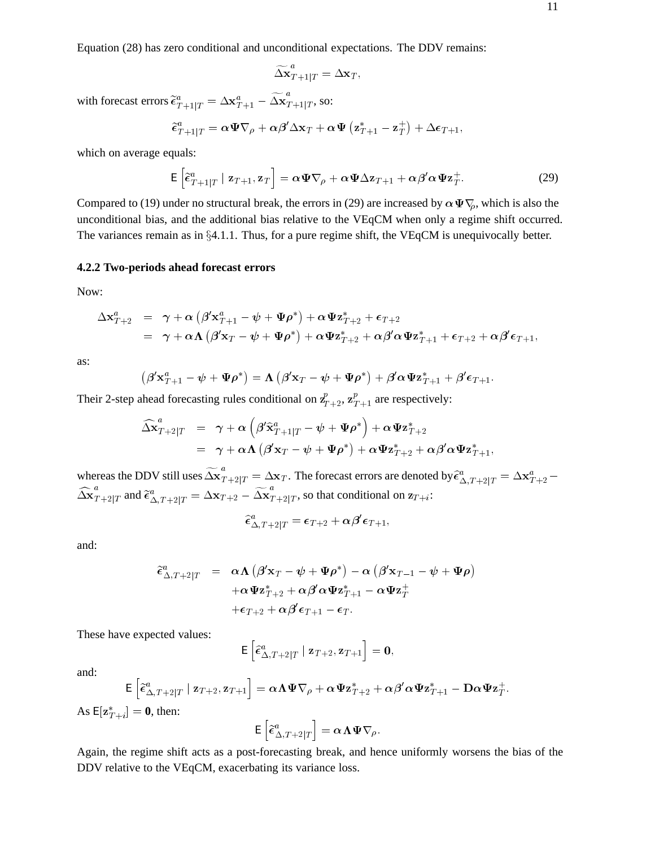Equation (28) has zero conditional and unconditional expectations. The DDV remains:

$$
\widetilde{\Delta \mathbf{x}}_{T+1|T}^a = \Delta \mathbf{x}_T,
$$

with forecast errors  $\widetilde{\epsilon}^a_{T+1|T} = \Delta \mathbf{x}^a_{T+1} - \widetilde{\Delta \mathbf{x}}^a_{T+1|T}$ , so:

$$
\widetilde{\boldsymbol{\epsilon}}_{T+1|T}^{a} = \boldsymbol{\alpha} \boldsymbol{\Psi} \nabla_{\rho} + \boldsymbol{\alpha} \boldsymbol{\beta}^{\prime} \Delta \mathbf{x}_{T} + \boldsymbol{\alpha} \boldsymbol{\Psi} \left( \mathbf{z}_{T+1}^{*} - \mathbf{z}_{T}^{+} \right) + \Delta \boldsymbol{\epsilon}_{T+1},
$$

which on average equals:

$$
\mathsf{E}\left[\tilde{\epsilon}_{T+1|T}^{a} \mid \mathbf{z}_{T+1}, \mathbf{z}_{T}\right] = \alpha \Psi \nabla_{\rho} + \alpha \Psi \Delta \mathbf{z}_{T+1} + \alpha \beta' \alpha \Psi \mathbf{z}_{T}^{+}.
$$
 (29)

Compared to (19) under no structural break, the errors in (29) are increased by  $\alpha \Psi \nabla_p$ , which is also the unconditional bias, and the additional bias relative to the VEqCM when only a regime shift occurred. The variances remain as in  $\S 4.1.1$ . Thus, for a pure regime shift, the VEqCM is unequivocally better.

### **4.2.2 Two-periods ahead forecast errors**

Now:

$$
\Delta \mathbf{x}_{T+2}^a = \gamma + \alpha \left( \beta' \mathbf{x}_{T+1}^a - \psi + \Psi \rho^* \right) + \alpha \Psi \mathbf{z}_{T+2}^* + \epsilon_{T+2} \n= \gamma + \alpha \Lambda \left( \beta' \mathbf{x}_T - \psi + \Psi \rho^* \right) + \alpha \Psi \mathbf{z}_{T+2}^* + \alpha \beta' \alpha \Psi \mathbf{z}_{T+1}^* + \epsilon_{T+2} + \alpha \beta' \epsilon_{T+1},
$$

as:

$$
\left(\beta'{\mathbf x}_{T+1}^\text{a}-\psi+\Psi{\boldsymbol\rho}^\ast\right)=\boldsymbol\Lambda\left(\beta'{\mathbf x}_T-\psi+\Psi{\boldsymbol\rho}^\ast\right)+\beta'{\boldsymbol\alpha}\Psi{\mathbf z}_{T+1}^\ast+\beta'\boldsymbol\epsilon_{T+1}.
$$

Their 2-step ahead forecasting rules conditional on  $\mathbf{z}_{T+2}^p$ ,  $\mathbf{z}_{T+1}^p$  are respectively:

$$
\begin{array}{lll}\widehat{\Delta \mathbf{x}}_{T+2|T}^{a} & = & \gamma + \alpha \left( \beta^{\prime} \widehat{\mathbf{x}}_{T+1|T}^{a} - \psi + \Psi \boldsymbol{\rho}^* \right) + \alpha \Psi \mathbf{z}_{T+2}^{*} \\ & = & \gamma + \alpha \Lambda \left( \beta^{\prime} \mathbf{x}_{T} - \psi + \Psi \boldsymbol{\rho}^* \right) + \alpha \Psi \mathbf{z}_{T+2}^{*} + \alpha \beta^{\prime} \alpha \Psi \mathbf{z}_{T+1}^{*},\end{array}
$$

whereas the DDV still uses  $\widetilde{\Delta\mathbf{x}}_{T+2|T}^a = \Delta\mathbf{x}_T.$  The forecast errors are denoted by  $\widehat{\epsilon}^a_{\Delta,T+2|T} = \Delta\mathbf{x}^a_{T+2} \widehat{\Delta \mathbf{x}}_{T+2|T}^{a}$  and  $\widetilde{\epsilon}^{a}_{\Delta,T+2|T} = \Delta \mathbf{x}_{T+2} - \widetilde{\Delta \mathbf{x}}_{T+2|T}^{a}$ , so that conditional on  $\mathbf{z}_{T+i}$ :

$$
\widehat{\boldsymbol{\epsilon}}^a_{{\Delta},T+2|T}=\boldsymbol{\epsilon}_{T+2}+\boldsymbol{\alpha}\boldsymbol{\beta}'\boldsymbol{\epsilon}_{T+1},
$$

and:

$$
\begin{array}{lll}\widehat{\epsilon}^a_{\Delta,T+2|T}&=&\alpha\mathbf{\Lambda}\left(\beta'{\bf x}_T-\psi+\Psi\rho^*\right)-\alpha\left(\beta'{\bf x}_{T-1}-\psi+\Psi\rho\right)\\&+\alpha\Psi{\bf z}_{T+2}^*+\alpha\beta'\alpha\Psi{\bf z}_{T+1}^*-\alpha\Psi{\bf z}_T^+\\&+\epsilon_{T+2}+\alpha\beta'\epsilon_{T+1}-\epsilon_T.\end{array}
$$

These have expected values:

$$
\mathsf{E}\left[\widehat{\boldsymbol{\epsilon}}^a_{\Delta,T+2|T}\mid \mathbf{z}_{T+2}, \mathbf{z}_{T+1}\right] = \mathbf{0},
$$

and:

$$
\mathsf{E}\left[\tilde{\epsilon}^a_{\Delta,T+2|T}\mid\mathbf{z}_{T+2},\mathbf{z}_{T+1}\right] = \alpha\mathbf{\Lambda}\Psi\nabla_\rho + \alpha\Psi\mathbf{z}_{T+2}^* + \alpha\beta'\alpha\Psi\mathbf{z}_{T+1}^* - \mathbf{D}\alpha\Psi\mathbf{z}_T^+.
$$

As  $E[\mathbf{z}_{T+i}^*] = \mathbf{0}$ , then:

$$
\mathsf{E}\left[\widetilde{\epsilon}^a_{\Delta,T+2|T}\right]=\alpha\mathbf{\Lambda}\mathbf{\Psi}\nabla_\rho.
$$

Again, the regime shift acts as a post-forecasting break, and hence uniformly worsens the bias of the DDV relative to the VEqCM, exacerbating its variance loss.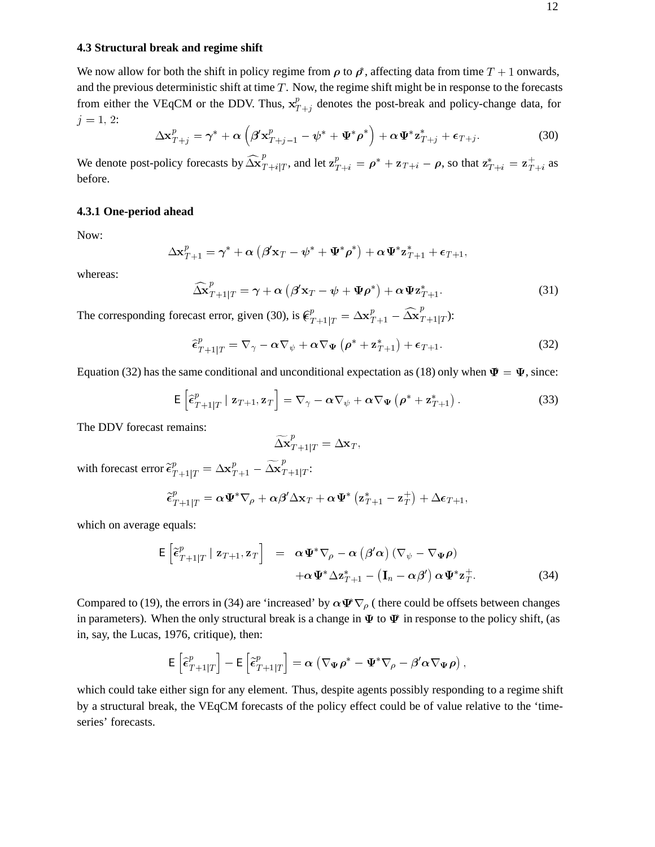#### **4.3 Structural break and regime shift**

We now allow for both the shift in policy regime from  $\rho$  to  $\rho^*$ , affecting data from time  $T + 1$  onwards, and the previous deterministic shift at time  $T$ . Now, the regime shift might be in response to the forecasts from either the VEqCM or the DDV. Thus,  $x_{T+j}^p$  denotes the post-break and policy-change data, for  $-$  + j  $j = 1, 2:$ 

$$
\Delta \mathbf{x}_{T+j}^p = \boldsymbol{\gamma}^* + \boldsymbol{\alpha} \left( \boldsymbol{\beta}' \mathbf{x}_{T+j-1}^p - \boldsymbol{\psi}^* + \boldsymbol{\Psi}^* \boldsymbol{\rho}^* \right) + \boldsymbol{\alpha} \boldsymbol{\Psi}^* \mathbf{z}_{T+j}^* + \boldsymbol{\epsilon}_{T+j}.
$$
 (30)

We denote post-policy forecasts by  $\widehat{\Delta x}^p_{T+i|T}$ , and let  $\mathbf{z}^p_{T+i} = \boldsymbol{\rho}^* + \mathbf{z}_{T+i} - \boldsymbol{\rho}$ , so that  $\mathbf{z}^*_{T+i} = \mathbf{z}^+_{T+i}$  as before.

## **4.3.1 One-period ahead**

Now:

$$
\Delta \mathbf{x}_{T+1}^p = \boldsymbol{\gamma}^* + \boldsymbol{\alpha} \left( \boldsymbol{\beta}' \mathbf{x}_T - \boldsymbol{\psi}^* + \boldsymbol{\Psi}^* \boldsymbol{\rho}^* \right) + \boldsymbol{\alpha} \boldsymbol{\Psi}^* \mathbf{z}_{T+1}^* + \boldsymbol{\epsilon}_{T+1},
$$

whereas:

$$
\widehat{\Delta \mathbf{x}}_{T+1|T}^{p} = \gamma + \alpha \left( \beta' \mathbf{x}_{T} - \psi + \Psi \rho^* \right) + \alpha \Psi \mathbf{z}_{T+1}^{*}.
$$
\n(31)

The corresponding forecast error, given (30), is  $\mathbf{\mathcal{C}}_{T+1|T}^p = \Delta \mathbf{x}_{T+1}^p - \widehat{\Delta \mathbf{x}}_{T+1|T}^p$ ):

$$
\hat{\epsilon}_{T+1|T}^p = \nabla_\gamma - \alpha \nabla_\psi + \alpha \nabla_\Psi \left( \rho^* + \mathbf{z}_{T+1}^* \right) + \epsilon_{T+1}.
$$
\n(32)

Equation (32) has the same conditional and unconditional expectation as (18) only when  $\Psi = \Psi$ , since:

$$
\mathsf{E}\left[\hat{\epsilon}_{T+1|T}^p \mid \mathbf{z}_{T+1}, \mathbf{z}_T\right] = \nabla_\gamma - \alpha \nabla_\psi + \alpha \nabla_\Psi \left(\rho^* + \mathbf{z}_{T+1}^*\right). \tag{33}
$$

The DDV forecast remains:

$$
\widetilde{\Delta \mathbf{x}}_{T+1|T}^{p} = \Delta \mathbf{x}_{T},
$$

with forecast error  $\tilde{\epsilon}^p_{T+1|T} = \Delta \mathbf{x}^p_{T+1} - \widetilde{\Delta \mathbf{x}}^p_{T+1|T}$ :

$$
\widetilde{\epsilon}^p_{T+1|T} = \alpha \boldsymbol{\Psi}^* \nabla_{\rho} + \alpha \boldsymbol{\beta}' \Delta \mathbf{x}_T + \alpha \boldsymbol{\Psi}^* \left( \mathbf{z}_{T+1}^* - \mathbf{z}_T^+ \right) + \Delta \boldsymbol{\epsilon}_{T+1},
$$

which on average equals:

$$
\mathsf{E}\left[\tilde{\epsilon}_{T+1|T}^p \mid \mathbf{z}_{T+1}, \mathbf{z}_T\right] = \alpha \Psi^* \nabla_\rho - \alpha \left(\beta' \alpha\right) \left(\nabla_\psi - \nabla_\Psi \rho\right) \n+ \alpha \Psi^* \Delta \mathbf{z}_{T+1}^* - \left(\mathbf{I}_n - \alpha \beta'\right) \alpha \Psi^* \mathbf{z}_T^+.
$$
\n(34)

Compared to (19), the errors in (34) are 'increased' by  $\alpha \Psi \nabla_{\rho}$  (there could be offsets between changes in parameters). When the only structural break is a change in  $\Psi$  to  $\Psi$  in response to the policy shift, (as in, say, the Lucas, 1976, critique), then:

$$
\mathsf{E}\left[\widehat{\epsilon}^p_{T+1|T}\right] - \mathsf{E}\left[\widehat{\epsilon}^p_{T+1|T}\right] = \alpha\left(\nabla_{\Psi}\rho^* - \Psi^*\nabla_{\rho} - \beta'\alpha\nabla_{\Psi}\rho\right),
$$

which could take either sign for any element. Thus, despite agents possibly responding to a regime shift by a structural break, the VEqCM forecasts of the policy effect could be of value relative to the 'timeseries' forecasts.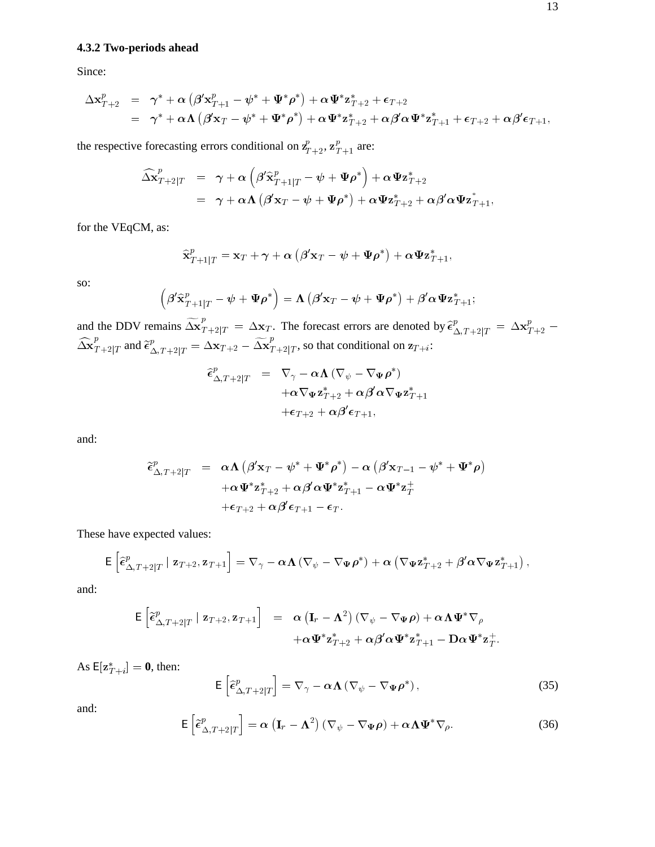## **4.3.2 Two-periods ahead**

Since:

$$
\Delta \mathbf{x}_{T+2}^p = \gamma^* + \alpha \left( \beta' \mathbf{x}_{T+1}^p - \psi^* + \Psi^* \rho^* \right) + \alpha \Psi^* \mathbf{z}_{T+2}^* + \epsilon_{T+2} \n= \gamma^* + \alpha \Lambda \left( \beta' \mathbf{x}_T - \psi^* + \Psi^* \rho^* \right) + \alpha \Psi^* \mathbf{z}_{T+2}^* + \alpha \beta' \alpha \Psi^* \mathbf{z}_{T+1}^* + \epsilon_{T+2} + \alpha \beta' \epsilon_{T+1},
$$

the respective forecasting errors conditional on  $Z_{T+2}$ ,  $Z_{T+1}^p$  are:

$$
\begin{array}{lll}\widehat{\Delta \mathbf{x}}_{T+2|T}^{p} & = & \gamma + \alpha \left( \beta^{\prime} \widehat{\mathbf{x}}_{T+1|T}^{p} - \psi + \Psi \rho^* \right) + \alpha \Psi \mathbf{z}_{T+2}^{*} \\ & = & \gamma + \alpha \Lambda \left( \beta^{\prime} \mathbf{x}_{T} - \psi + \Psi \rho^* \right) + \alpha \Psi \mathbf{z}_{T+2}^{*} + \alpha \beta^{\prime} \alpha \Psi \mathbf{z}_{T+1}^{*},\end{array}
$$

for the VEqCM, as:

$$
\widehat{\mathbf{x}}_{T+1|T}^p = \mathbf{x}_T + \boldsymbol{\gamma} + \boldsymbol{\alpha} \left( \boldsymbol{\beta}' \mathbf{x}_T - \boldsymbol{\psi} + \boldsymbol{\Psi} \boldsymbol{\rho}^* \right) + \boldsymbol{\alpha} \boldsymbol{\Psi} \mathbf{z}_{T+1}^*,
$$

so:

$$
\left(\beta'\widehat{\mathbf{x}}_{T+1|T}^{p}-\psi+\Psi\rho^{*}\right)=\boldsymbol{\Lambda}\left(\beta'\mathbf{x}_{T}-\psi+\Psi\rho^{*}\right)+\beta'\boldsymbol{\alpha}\Psi\mathbf{z}_{T+1}^{*};
$$

and the DDV remains  $\widetilde{\Delta x}_{T+2|T}^p = \Delta x_T$ . The forecast errors are denoted by  $\widehat{\epsilon}_{\Delta,T+2|T}^p = \Delta x_{T+2}^p - \widehat{\Delta x}_{T+2|T}^p = \Delta x_{T+2} - \widetilde{\Delta x}_{T+2|T}^p$ , so that conditional on  $z_{T+i}$ :

$$
\begin{array}{lll} \widehat{\epsilon}_{\Delta,T+2|T}^p & = & \nabla_\gamma - \alpha \mathbf{\Lambda} \left( \nabla_\psi - \nabla_\Psi \rho^* \right) \\ & & + \alpha \nabla_\Psi \mathbf{z}_{T+2}^* + \alpha \beta' \alpha \nabla_\Psi \mathbf{z}_{T+1}^* \\ & & + \epsilon_{T+2} + \alpha \beta' \epsilon_{T+1}, \end{array}
$$

and:

$$
\begin{array}{rcl} \widetilde{\epsilon}^{p}_{\Delta,T+2|T} & = & \alpha \Lambda \left( \beta' {\bf x}_{T} - \psi^* + {\bf \Psi}^* \rho^* \right) - \alpha \left( \beta' {\bf x}_{T-1} - \psi^* + {\bf \Psi}^* \rho \right) \\ & & + \alpha {\bf \Psi}^* {\bf z}^*_{T+2} + \alpha \beta' \alpha {\bf \Psi}^* {\bf z}^*_{T+1} - \alpha {\bf \Psi}^* {\bf z}^+_T \\ & & + \epsilon_{T+2} + \alpha \beta' \epsilon_{T+1} - \epsilon_{T}. \end{array}
$$

These have expected values:

$$
\mathsf{E}\left[\widehat{\epsilon}_{\Delta,T+2|T}^p\mid\mathbf{z}_{T+2},\mathbf{z}_{T+1}\right] = \nabla_\gamma - \alpha\mathbf{\Lambda}\left(\nabla_\psi-\nabla_\Psi\rho^*\right) + \alpha\left(\nabla_\Psi\mathbf{z}_{T+2}^*+\beta'\alpha\nabla_\Psi\mathbf{z}_{T+1}^*\right),
$$

and:

$$
\mathsf{E}\left[\tilde{\epsilon}^p_{\Delta,T+2|T} \mid \mathbf{z}_{T+2}, \mathbf{z}_{T+1}\right] = \alpha \left(\mathbf{I}_r - \mathbf{\Lambda}^2\right) \left(\nabla_{\psi} - \nabla_{\Psi} \rho\right) + \alpha \mathbf{\Lambda} \Psi^* \nabla_{\rho} + \alpha \Psi^* \mathbf{z}_{T+2}^* + \alpha \beta' \alpha \Psi^* \mathbf{z}_{T+1}^* - \mathbf{D} \alpha \Psi^* \mathbf{z}_T^*.
$$

As  $E[\mathbf{z}_{T+i}^*] = \mathbf{0}$ , then:

$$
\mathsf{E}\left[\hat{\epsilon}_{\Delta,T+2|T}^{p}\right] = \nabla_{\gamma} - \alpha \Lambda \left(\nabla_{\psi} - \nabla_{\Psi} \rho^{*}\right),\tag{35}
$$

and:

$$
\mathsf{E}\left[\tilde{\epsilon}_{\Delta,T+2|T}^{p}\right]=\boldsymbol{\alpha}\left(\mathbf{I}_{r}-\boldsymbol{\Lambda}^{2}\right)\left(\nabla_{\psi}-\nabla_{\Psi}\boldsymbol{\rho}\right)+\boldsymbol{\alpha}\boldsymbol{\Lambda}\Psi^{*}\nabla_{\rho}.
$$
\n(36)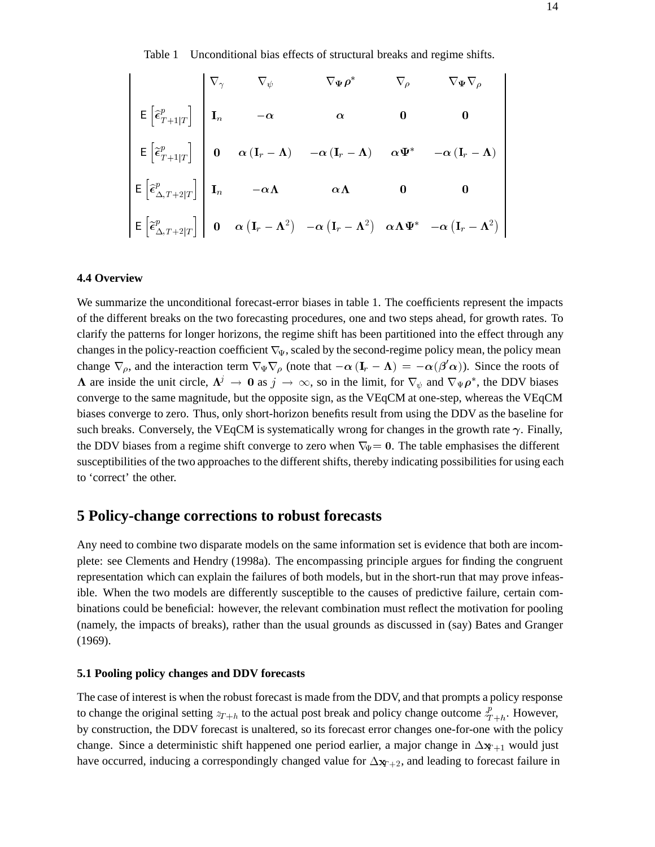Table 1 Unconditional bias effects of structural breaks and regime shifts.

$$
\begin{bmatrix}\n\overline{\epsilon} & \overline{\epsilon}_{T+1|T} \\
\overline{\epsilon}_{T+1|T}^p\n\end{bmatrix}\n\begin{bmatrix}\n\nabla_{\gamma} & \nabla_{\psi} & \nabla_{\Psi}\rho^* & \nabla_{\rho} & \nabla_{\Psi}\nabla_{\rho} \\
I_n & -\alpha & \alpha & 0 & 0 \\
0 & \alpha (I_r - \Lambda) & -\alpha (I_r - \Lambda) & \alpha \Psi^* & -\alpha (I_r - \Lambda)\n\end{bmatrix}
$$
\n
$$
\begin{bmatrix}\n\overline{\epsilon}_{T+1|T}^p\n\end{bmatrix}\n\begin{bmatrix}\n0 & \alpha (I_r - \Lambda) & -\alpha (I_r - \Lambda) & \alpha \Psi^* & -\alpha (I_r - \Lambda) \\
I_n & -\alpha \Lambda & \alpha \Lambda & 0 & 0 \\
0 & \alpha (I_r - \Lambda^2) & -\alpha (I_r - \Lambda^2) & \alpha \Lambda \Psi^* & -\alpha (I_r - \Lambda^2)\n\end{bmatrix}
$$

### **4.4 Overview**

We summarize the unconditional forecast-error biases in table 1. The coefficients represent the impacts of the different breaks on the two forecasting procedures, one and two steps ahead, for growth rates. To clarify the patterns for longer horizons, the regime shift has been partitioned into the effect through any changes in the policy-reaction coefficient  $\nabla_{\Psi}$ , scaled by the second-regime policy mean, the policy mean change  $\nabla_{\rho}$ , and the interaction term  $\nabla_{\Psi} \nabla_{\rho}$  (note that  $-\alpha (\mathbf{I}_r - \mathbf{\Lambda}) = -\alpha(\beta' \alpha)$ ). Since the roots of  $\Lambda$  are inside the unit circle,  $\Lambda^j \to 0$  as  $j \to \infty$ , so in the limit, for  $\nabla_{\psi}$  and  $\nabla_{\Psi} \rho^*$ , the DDV biases converge to the same magnitude, but the opposite sign, as the VEqCM at one-step, whereas the VEqCM biases converge to zero. Thus, only short-horizon benefits result from using the DDV as the baseline for such breaks. Conversely, the VEqCM is systematically wrong for changes in the growth rate  $\gamma$ . Finally, the DDV biases from a regime shift converge to zero when  $\nabla_{\Psi} = 0$ . The table emphasises the different susceptibilities of the two approaches to the different shifts, thereby indicating possibilities for using each to 'correct' the other.

## **5 Policy-change corrections to robust forecasts**

Any need to combine two disparate models on the same information set is evidence that both are incomplete: see Clements and Hendry (1998a). The encompassing principle argues for finding the congruent representation which can explain the failures of both models, but in the short-run that may prove infeasible. When the two models are differently susceptible to the causes of predictive failure, certain combinations could be beneficial: however, the relevant combination must reflect the motivation for pooling (namely, the impacts of breaks), rather than the usual grounds as discussed in (say) Bates and Granger (1969).

#### **5.1 Pooling policy changes and DDV forecasts**

The case of interest is when the robust forecast is made from the DDV, and that prompts a policy response to change the original setting  $z_{T+h}$  to the actual post break and policy change outcome  $\frac{p}{T+h}$ . However, by construction, the DDV forecast is unaltered, so its forecast error changes one-for-one with the policy change. Since a deterministic shift happened one period earlier, a major change in  $\Delta x_{t+1}$  would just have occurred, inducing a correspondingly changed value for  $\Delta x_{T+2}$ , and leading to forecast failure in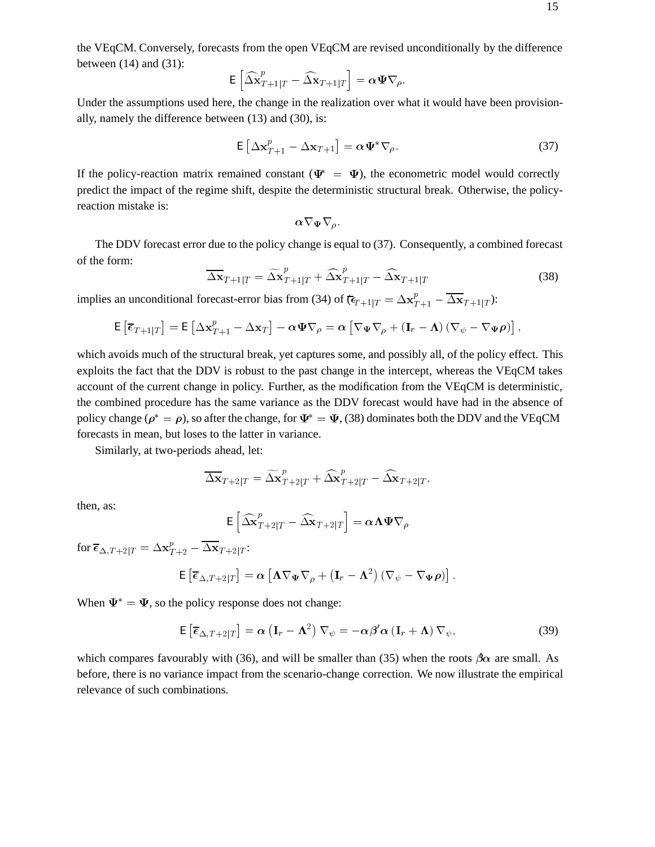the VEqCM. Conversely, forecasts from the open VEqCM are revised unconditionally by the difference between  $(14)$  and  $(31)$ :

$$
\mathsf{E}\left[\widehat{\Delta \mathbf{x}}_{T+1|T}^p - \widehat{\Delta \mathbf{x}}_{T+1|T}\right] = \alpha \Psi \nabla_\rho.
$$

Under the assumptions used here, the change in the realization over what it would have been provisionally, namely the difference between (13) and (30), is:

$$
\mathsf{E}\left[\Delta \mathbf{x}_{T+1}^p - \Delta \mathbf{x}_{T+1}\right] = \alpha \Psi^* \nabla_\rho. \tag{37}
$$

If the policy-reaction matrix remained constant ( $\Psi^* = \Psi$ ), the econometric model would correctly predict the impact of the regime shift, despite the deterministic structural break. Otherwise, the policyreaction mistake is:

$$
\alpha \nabla _{\Psi }\nabla _{\varrho }.
$$

The DDV forecast error due to the policy change is equal to (37). Consequently, a combined forecast of the form:

$$
\overline{\Delta \mathbf{x}}_{T+1|T} = \widetilde{\Delta \mathbf{x}}_{T+1|T}^{p} + \widehat{\Delta \mathbf{x}}_{T+1|T}^{p} - \widehat{\Delta \mathbf{x}}_{T+1|T}
$$
\n(38)

implies an unconditional forecast-error bias from (34) of  $(\epsilon_{T+1|T} = \Delta \mathbf{x}_{T+1}^p - \Delta \mathbf{x}_{T+1|T})$ :

$$
\mathsf{E}\left[\overline{\epsilon}_{T+1|T}\right] = \mathsf{E}\left[\Delta \mathbf{x}_{T+1}^p - \Delta \mathbf{x}_T\right] - \alpha \Psi \nabla_\rho = \alpha \left[\nabla_\Psi \nabla_\rho + \left(\mathbf{I}_r - \mathbf{\Lambda}\right) \left(\nabla_\psi - \nabla_\Psi \rho\right)\right],
$$

which avoids much of the structural break, yet captures some, and possibly all, of the policy effect. This exploits the fact that the DDV is robust to the past change in the intercept, whereas the VEqCM takes account of the current change in policy. Further, as the modification from the VEqCM is deterministic, the combined procedure has the same variance as the DDV forecast would have had in the absence of policy change ( $\rho^* = \rho$ ), so after the change, for  $\Psi^* = \Psi$ , (38) dominates both the DDV and the VEqCM forecasts in mean, but loses to the latter in variance.

Similarly, at two-periods ahead, let:

$$
\overline{\Delta \mathbf{x}}_{T+2|T} = \widetilde{\Delta \mathbf{x}}_{T+2|T}^{p} + \widehat{\Delta \mathbf{x}}_{T+2|T}^{p} - \widehat{\Delta \mathbf{x}}_{T+2|T},
$$

then, as:

$$
\mathsf{E}\left[\widehat{\Delta \mathbf{x}}_{T+2|T}^{p}-\widehat{\Delta \mathbf{x}}_{T+2|T}\right]=\alpha \mathbf{\Lambda} \mathbf{\Psi} \nabla_{\rho}
$$

for  $\overline{\boldsymbol{\epsilon}}_{\Delta,T+2|T} = \Delta\mathbf{x}_{T+2}^p - \Delta\mathbf{x}_{T+2|T}$ :

$$
\mathsf{E}\left[\overline{\epsilon}_{\Delta,T+2|T}\right] = \boldsymbol{\alpha}\left[\boldsymbol{\Lambda}\nabla_{\boldsymbol{\Psi}}\nabla_{\rho} + \left(\mathbf{I}_{r} - \boldsymbol{\Lambda}^{2}\right)\left(\nabla_{\psi} - \nabla_{\boldsymbol{\Psi}}\boldsymbol{\rho}\right)\right].
$$

When  $\Psi^* = \Psi$ , so the policy response does not change:

$$
E\left[\overline{\epsilon}_{\Delta,T+2|T}\right] = \alpha \left(I_r - \Lambda^2\right) \nabla_{\psi} = -\alpha \beta' \alpha \left(I_r + \Lambda\right) \nabla_{\psi},\tag{39}
$$

which compares favourably with (36), and will be smaller than (35) when the roots  $\beta \alpha$  are small. As before, there is no variance impact from the scenario-change correction. We now illustrate the empirical relevance of such combinations.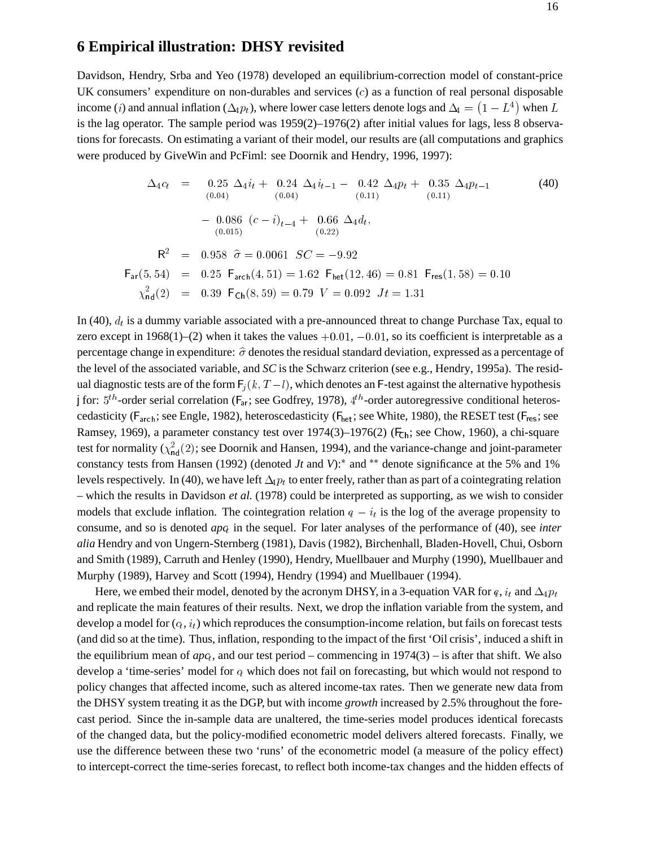## **6 Empirical illustration: DHSY revisited**

Davidson, Hendry, Srba and Yeo (1978) developed an equilibrium-correction model of constant-price UK consumers' expenditure on non-durables and services  $(c)$  as a function of real personal disposable income (*i*) and annual inflation ( $\Delta_{4}p_{t}$ ), where lower case letters denote logs and  $\Delta_{4} = (1 - L^{4})$  when L is the lag operator. The sample period was 1959(2)–1976(2) after initial values for lags, less 8 observations for forecasts. On estimating a variant of their model, our results are (all computations and graphics were produced by GiveWin and PcFiml: see Doornik and Hendry, 1996, 1997):

$$
\Delta_{4}c_{t} = 0.25 \Delta_{4}i_{t} + 0.24 \Delta_{4}i_{t-1} - 0.42 \Delta_{4}p_{t} + 0.35 \Delta_{4}p_{t-1}
$$
(40)  
\n
$$
- 0.086 (c - i)_{t-4} + 0.66 \Delta_{4}d_{t},
$$
  
\n
$$
R^{2} = 0.958 \hat{\sigma} = 0.0061 \quad SC = -9.92
$$
  
\n
$$
F_{\text{ar}}(5, 54) = 0.25 \quad F_{\text{arch}}(4, 51) = 1.62 \quad F_{\text{het}}(12, 46) = 0.81 \quad F_{\text{res}}(1, 58) = 0.10
$$
  
\n
$$
\chi^{2}_{\text{nd}}(2) = 0.39 \quad F_{\text{Ch}}(8, 59) = 0.79 \quad V = 0.092 \quad Jt = 1.31
$$
(41)

In (40),  $d_t$  is a dummy variable associated with a pre-announced threat to change Purchase Tax, equal to zero except in 1968(1)–(2) when it takes the values  $+0.01, -0.01$ , so its coefficient is interpretable as a percentage change in expenditure:  $\hat{\sigma}$  denotes the residual standard deviation, expressed as a percentage of the level of the associated variable, and *SC* is the Schwarz criterion (see e.g., Hendry, 1995a). The residual diagnostic tests are of the form  $F_i (k, T - l)$ , which denotes an F-test against the alternative hypothesis j for:  $5^{th}$ -order serial correlation ( $F_{at}$ ; see Godfrey, 1978),  $4^{th}$ -order autoregressive conditional heteroscedasticity ( $F_{\text{arch}}$ ; see Engle, 1982), heteroscedasticity ( $F_{\text{het}}$ ; see White, 1980), the RESET test ( $F_{\text{res}}$ ; see Ramsey, 1969), a parameter constancy test over  $1974(3)$ –1976(2) ( $F<sub>ch</sub>$ ; see Chow, 1960), a chi-square test for normality ( $\chi^2_{\rm nd}(2)$ ; see Doornik and Hansen, 1994), and the variance-change and joint-parameter constancy tests from Hansen (1992) (denoted *Jt* and *V*):<sup>\*</sup> and <sup>\*\*</sup> denote significance at the 5% and 1% levels respectively. In (40), we have left  $\Delta_i p_t$  to enter freely, rather than as part of a cointegrating relation – which the results in Davidson *et al.* (1978) could be interpreted as supporting, as we wish to consider models that exclude inflation. The cointegration relation  $q - i_t$  is the log of the average propensity to consume, and so is denoted *apc<sub>t</sub>* in the sequel. For later analyses of the performance of (40), see *inter alia* Hendry and von Ungern-Sternberg (1981), Davis (1982), Birchenhall, Bladen-Hovell, Chui, Osborn and Smith (1989), Carruth and Henley (1990), Hendry, Muellbauer and Murphy (1990), Muellbauer and Murphy (1989), Harvey and Scott (1994), Hendry (1994) and Muellbauer (1994).

Here, we embed their model, denoted by the acronym DHSY, in a 3-equation VAR for q,  $i_t$  and  $\Delta_4 p_t$ and replicate the main features of their results. Next, we drop the inflation variable from the system, and develop a model for  $(c_t, i_t)$  which reproduces the consumption-income relation, but fails on forecast tests (and did so at the time). Thus, inflation, responding to the impact of the first 'Oil crisis', induced a shift in the equilibrium mean of  $apc_t$ , and our test period – commencing in 1974(3) – is after that shift. We also develop a 'time-series' model for  $q$  which does not fail on forecasting, but which would not respond to policy changes that affected income, such as altered income-tax rates. Then we generate new data from the DHSY system treating it as the DGP, but with income *growth* increased by 2.5% throughout the forecast period. Since the in-sample data are unaltered, the time-series model produces identical forecasts of the changed data, but the policy-modified econometric model delivers altered forecasts. Finally, we use the difference between these two 'runs' of the econometric model (a measure of the policy effect) to intercept-correct the time-series forecast, to reflect both income-tax changes and the hidden effects of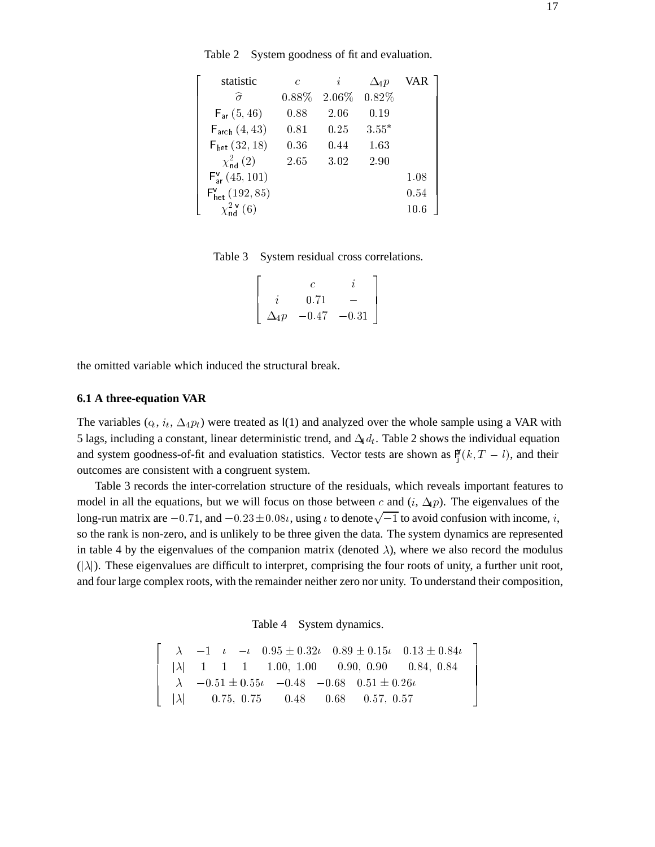Table 2 System goodness of fit and evaluation.

| statistic                          | $\epsilon$ | i                      | $\Delta_4 p$ | VAR  |  |
|------------------------------------|------------|------------------------|--------------|------|--|
| $\widehat{\sigma}$                 |            | $0.88\%$ 2.06\% 0.82\% |              |      |  |
| $F_{ar}(5, 46)$                    | 0.88       | 2.06                   | 0.19         |      |  |
| $F_{\text{arch}}(4, 43)$           | 0.81       | 0.25                   | $3.55*$      |      |  |
| $F_{het}$ (32,18)                  | 0.36       | 0.44                   | 1.63         |      |  |
| $\chi^{2}_{\rm nd} (2)$            | 2.65       | 3.02                   | 2.90         |      |  |
| $F_{ar}^{V}(45, 101)$              |            |                        |              | 1.08 |  |
| $F'_{het}$ (192, 85)               |            |                        |              | 0.54 |  |
| $\chi^2_{\rm nd}$ <sup>V</sup> (6) |            |                        |              | 10.6 |  |

Table 3 System residual cross correlations.

| 0.71                     |  |
|--------------------------|--|
| $\Delta_4 p$ -0.47 -0.31 |  |

the omitted variable which induced the structural break.

#### **6.1 A three-equation VAR**

The variables  $(c_t, i_t, \Delta_4 p_t)$  were treated as  $I(1)$  and analyzed over the whole sample using a VAR with 5 lags, including a constant, linear deterministic trend, and  $\Delta_4 d_t$ . Table 2 shows the individual equation and system goodness-of-fit and evaluation statistics. Vector tests are shown as  $\mathbb{F}_{i}(k, T - l)$ , and their outcomes are consistent with a congruent system.

Table 3 records the inter-correlation structure of the residuals, which reveals important features to model in all the equations, but we will focus on those between c and  $(i, \Delta_{\rm P})$ . The eigenvalues of the long-run matrix are  $-0.71$ , and  $-0.23\pm0.08\iota$ , using  $\iota$  to denote  $\sqrt{-1}$  to avoid confusion with income,  $i$ , so the rank is non-zero, and is unlikely to be three given the data. The system dynamics are represented in table 4 by the eigenvalues of the companion matrix (denoted  $\lambda$ ), where we also record the modulus  $(|\lambda|)$ . These eigenvalues are difficult to interpret, comprising the four roots of unity, a further unit root, and four large complex roots, with the remainder neither zero nor unity. To understand their composition,

Table 4 System dynamics.

$$
\begin{array}{|rrrrrrrrrrrrrrrrrrrr} & \lambda & -1 & \iota & -\iota & 0.95 \pm 0.32 \iota & 0.89 \pm 0.15 \iota & 0.13 \pm 0.84 \iota \\ & |\lambda| & 1 & 1 & 1 & 1.00, 1.00 & 0.90, 0.90 & 0.84, 0.84 \\ & \lambda & -0.51 \pm 0.55 \iota & -0.48 & -0.68 & 0.51 \pm 0.26 \iota \\ & |\lambda| & 0.75, 0.75 & 0.48 & 0.68 & 0.57, 0.57 \end{array}
$$

77 The Contract of the Contract of the Contract of the Contract of the Contract of the Contract of the Contract of the Contract of the Contract of the Contract of the Contract of the Contract of the Contract of the Contrac 77 The Corporation of the Corporation of 77 The Contract of the Contract of the Contract of the Contract of the Contract of the Contract of the Contract of the Contract of the Contract of the Contract of the Contract of the Contract of the Contract of the Contrac 55.55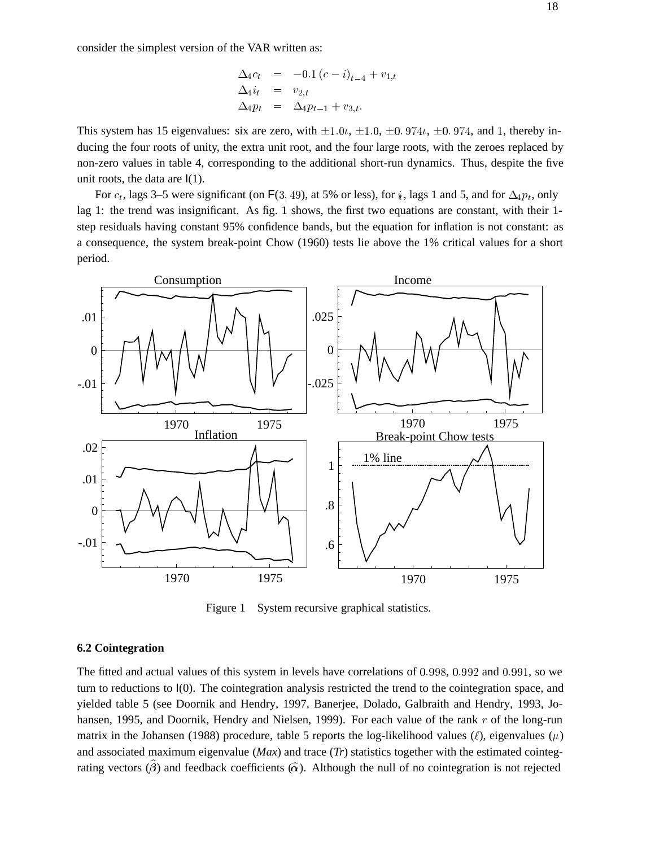consider the simplest version of the VAR written as:

$$
\begin{array}{rcl}\n\Delta_4 c_t & = & -0.1 \left( c - i \right)_{t-4} + v_{1,t} \\
\Delta_4 i_t & = & v_{2,t} \\
\Delta_4 p_t & = & \Delta_4 p_{t-1} + v_{3,t}.\n\end{array}
$$

This system has 15 eigenvalues: six are zero, with  $\pm 1.0$ ,  $\pm 1.0$ ,  $\pm 0.974$ ,  $\pm 0.974$ , and 1, thereby inducing the four roots of unity, the extra unit root, and the four large roots, with the zeroes replaced by non-zero values in table 4, corresponding to the additional short-run dynamics. Thus, despite the five unit roots, the data are  $I(1)$ .

For  $c_t$ , lags 3–5 were significant (on F(3, 49), at 5% or less), for  $\dot{u}$ , lags 1 and 5, and for  $\Delta_4 p_t$ , only lag 1: the trend was insignificant. As fig. 1 shows, the first two equations are constant, with their 1 step residuals having constant 95% confidence bands, but the equation for inflation is not constant: as a consequence, the system break-point Chow (1960) tests lie above the 1% critical values for a short period.



Figure 1 System recursive graphical statistics.

## **6.2 Cointegration**

The fitted and actual values of this system in levels have correlations of 0:998, 0:992 and 0:991, so we turn to reductions to I(0). The cointegration analysis restricted the trend to the cointegration space, and yielded table 5 (see Doornik and Hendry, 1997, Banerjee, Dolado, Galbraith and Hendry, 1993, Johansen, 1995, and Doornik, Hendry and Nielsen, 1999). For each value of the rank r of the long-run matrix in the Johansen (1988) procedure, table 5 reports the log-likelihood values ( $\ell$ ), eigenvalues ( $\mu$ ) and associated maximum eigenvalue (*Max*) and trace (*Tr*) statistics together with the estimated cointegrating vectors  $(\hat{\beta})$  and feedback coefficients  $(\hat{\alpha})$ . Although the null of no cointegration is not rejected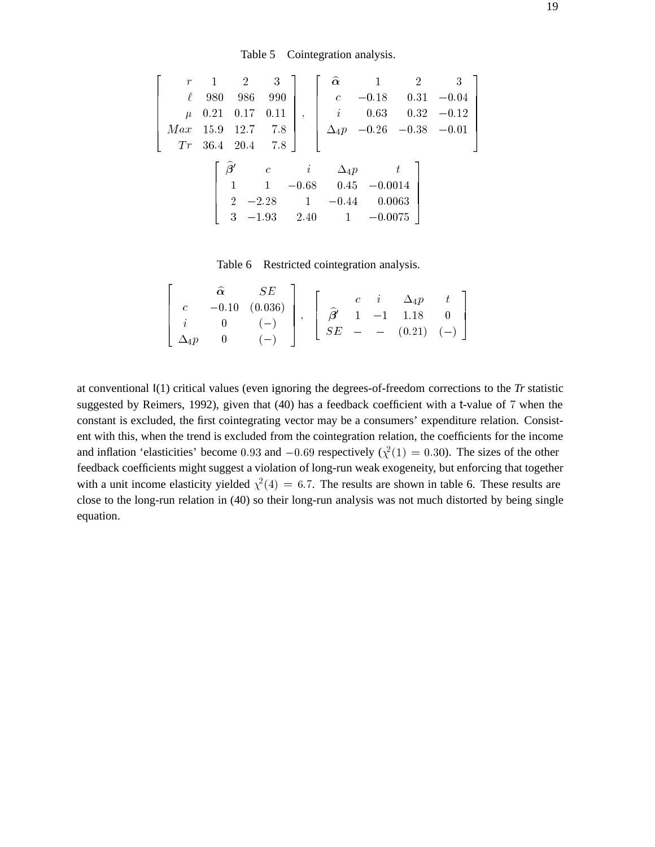Table 5 Cointegration analysis.

$$
\begin{bmatrix}\nr & 1 & 2 & 3 \\
\ell & 980 & 986 & 990 \\
\mu & 0.21 & 0.17 & 0.11 \\
Max & 15.9 & 12.7 & 7.8 \\
Tr & 36.4 & 20.4 & 7.8\n\end{bmatrix}, \begin{bmatrix}\n\hat{\alpha} & 1 & 2 & 3 \\
c & -0.18 & 0.31 & -0.04 \\
i & 0.63 & 0.32 & -0.12 \\
\Delta_{4}p & -0.26 & -0.38 & -0.01 \\
\Delta_{4}p & -0.26 & -0.38 & -0.01\n\end{bmatrix}
$$
\n
$$
\begin{bmatrix}\n\hat{\beta}' & c & i & \Delta_{4}p & t \\
1 & 1 & -0.68 & 0.45 & -0.0014 \\
2 & -2.28 & 1 & -0.44 & 0.0063 \\
3 & -1.93 & 2.40 & 1 & -0.0075\n\end{bmatrix}
$$

Table 6 Restricted cointegration analysis.

|  | $\widehat{\alpha}$ $SE$                                                                                                                                                                                                                                                                                      |  |  |  |  |
|--|--------------------------------------------------------------------------------------------------------------------------------------------------------------------------------------------------------------------------------------------------------------------------------------------------------------|--|--|--|--|
|  |                                                                                                                                                                                                                                                                                                              |  |  |  |  |
|  |                                                                                                                                                                                                                                                                                                              |  |  |  |  |
|  | $\left[\begin{array}{ccc} \textbf{u} & \textbf{v} & \textbf{v} \\ c & -0.10 & (0.036) \\ i & 0 & (-) \\ \Delta_4 p & 0 & (-) \end{array}\right], \hspace{3mm} \left[\begin{array}{ccc} c & i & \Delta_4 p & t \\ \widehat{\beta}^\prime & 1 & -1 & 1.18 & 0 \\ SE & - & - & (0.21) & (-) \end{array}\right]$ |  |  |  |  |

 $\overline{a}$ 

at conventional I(1) critical values (even ignoring the degrees-of-freedom corrections to the *Tr* statistic suggested by Reimers, 1992), given that (40) has a feedback coefficient with a t-value of <sup>7</sup> when the constant is excluded, the first cointegrating vector may be a consumers' expenditure relation. Consistent with this, when the trend is excluded from the cointegration relation, the coefficients for the income and inflation 'elasticities' become 0.93 and  $-0.69$  respectively ( $\chi^2(1) = 0.30$ ). The sizes of the other feedback coefficients might suggest a violation of long-run weak exogeneity, but enforcing that together with a unit income elasticity yielded  $\chi^2(4) = 6.7$ . The results are shown in table 6. These results are close to the long-run relation in (40) so their long-run analysis was not much distorted by being single equation.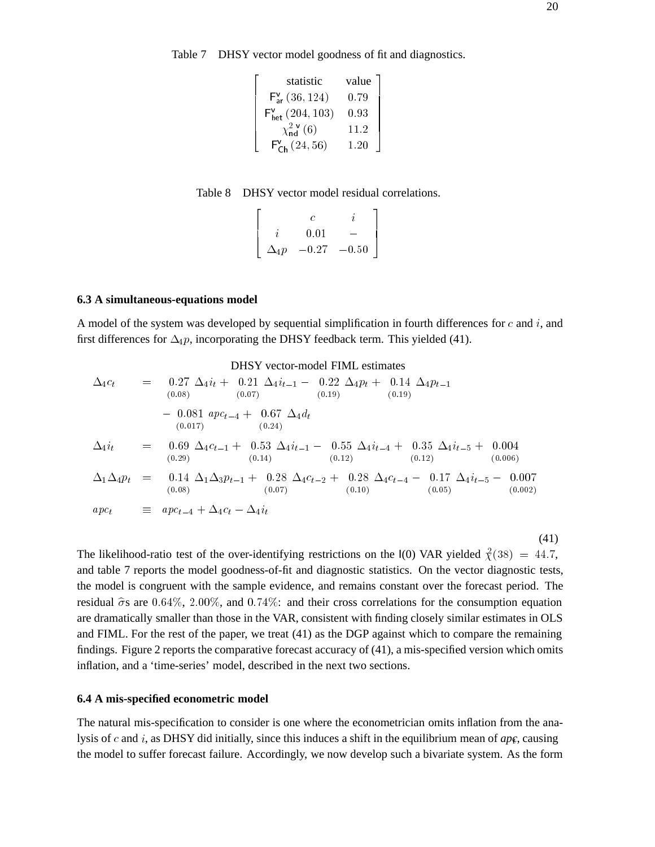Table 7 DHSY vector model goodness of fit and diagnostics.

| statistic<br>$F_{ar}^{v} (36, 124)$ | 0.79 |
|-------------------------------------|------|
| $F_{het}^{v} (204, 103)$            | 0.93 |
| $\chi_{nd}^{2v} (6)$                | 11.2 |
| $F_{Ch}^{v} (24, 56)$               | 1.20 |

 $\overline{a}$ 

Table 8 DHSY vector model residual correlations.

$$
\left[\begin{array}{ccc} & c & i \\ i & 0.01 & - \\ \Delta_{4}p & -0.27 & -0.50 \end{array}\right]
$$

### **6.3 A simultaneous-equations model**

A model of the system was developed by sequential simplification in fourth differences for  $c$  and  $i$ , and first differences for  $\Delta_4 p$ , incorporating the DHSY feedback term. This yielded (41).

$$
\Delta_{4}c_{t} = 0.27 \Delta_{4}i_{t} + 0.21 \Delta_{4}i_{t-1} - 0.22 \Delta_{4}p_{t} + 0.14 \Delta_{4}p_{t-1}
$$
\n(0.08)\n(0.07)\n(0.07)\n(0.19)\n(0.19)\n(0.19)\n(0.101)\n(0.017)\n(0.24)\n
$$
\Delta_{4}i_{t} = 0.69 \Delta_{4}c_{t-1} + 0.53 \Delta_{4}i_{t-1} - 0.55 \Delta_{4}i_{t-4} + 0.35 \Delta_{4}i_{t-5} + 0.004
$$
\n(0.29)\n(0.14)\n(0.14)\n(0.12)\n(0.12)\n(0.006)\n
$$
\Delta_{1}\Delta_{4}p_{t} = 0.14 \Delta_{1}\Delta_{3}p_{t-1} + 0.28 \Delta_{4}c_{t-2} + 0.28 \Delta_{4}c_{t-4} - 0.17 \Delta_{4}i_{t-5} - 0.007
$$
\n(0.08)\n(0.00)\n(0.00)\n(0.00)\n(0.00)\n(0.00)\n(0.00)\n(0.000)\n(0.000)\n(0.001)\n(0.002)\n(0.002)

(41)

The likelihood-ratio test of the over-identifying restrictions on the  $I(0)$  VAR yielded  $\chi^2(38) = 44.7$ , and table 7 reports the model goodness-of-fit and diagnostic statistics. On the vector diagnostic tests, the model is congruent with the sample evidence, and remains constant over the forecast period. The residual  $\hat{\sigma}$ s are 0.64%, 2.00%, and 0.74%: and their cross correlations for the consumption equation are dramatically smaller than those in the VAR, consistent with finding closely similar estimates in OLS and FIML. For the rest of the paper, we treat (41) as the DGP against which to compare the remaining findings. Figure 2 reports the comparative forecast accuracy of (41), a mis-specified version which omits inflation, and a 'time-series' model, described in the next two sections.

#### **6.4 A mis-specified econometric model**

The natural mis-specification to consider is one where the econometrician omits inflation from the analysis of c and i, as DHSY did initially, since this induces a shift in the equilibrium mean of  $ap\epsilon$ , causing the model to suffer forecast failure. Accordingly, we now develop such a bivariate system. As the form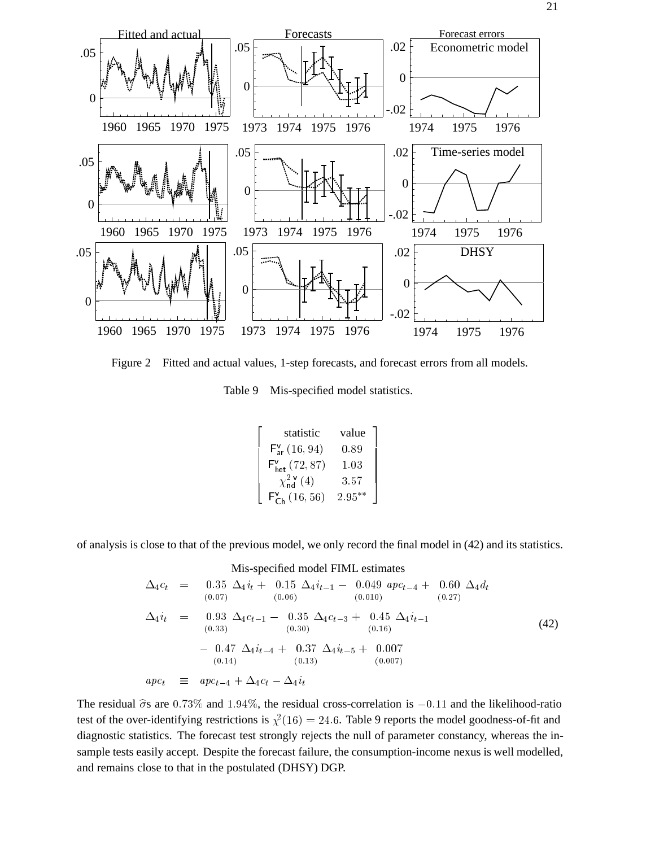

Figure 2 Fitted and actual values, 1-step forecasts, and forecast errors from all models.

Table 9 Mis-specified model statistics.

| statistic                              | value     |  |
|----------------------------------------|-----------|--|
| $F_{ar}^{v}$ (16, 94)                  | 0.89      |  |
| $F'_{het}$ (72, 87)                    | 1.03      |  |
| $\chi^{2 \, \nu}_{\rm nd}(4)$          | 3.57      |  |
| $F_{\textsf{Ch}}^{\textsf{v}}(16, 56)$ | $2.95***$ |  |

of analysis is close to that of the previous model, we only record the final model in (42) and its statistics.

$$
\text{Mis-specified model FIML estimates} \Delta_{4}c_{t} = 0.35 \Delta_{4}i_{t} + 0.15 \Delta_{4}i_{t-1} - 0.049 \text{ } apc_{t-4} + 0.60 \Delta_{4}d_{t} \n (0.07) \qquad (0.06) \qquad (0.010) \qquad (0.27) \n \Delta_{4}i_{t} = 0.93 \Delta_{4}c_{t-1} - 0.35 \Delta_{4}c_{t-3} + 0.45 \Delta_{4}i_{t-1} \n (0.33) \qquad (0.30) \qquad (0.16) \n - 0.47 \Delta_{4}i_{t-4} + 0.37 \Delta_{4}i_{t-5} + 0.007 \n (0.14) \qquad (0.13) \qquad (0.007) \n apc_{t} \equiv apc_{t-4} + \Delta_{4}c_{t} - \Delta_{4}i_{t}
$$
\n
$$
(0.007)
$$

The residual  $\hat{\sigma}$ s are 0.73% and 1.94%, the residual cross-correlation is -0.11 and the likelihood-ratio test of the over-identifying restrictions is  $\chi^2(16) = 24.6$ . Table 9 reports the model goodness-of-fit and diagnostic statistics. The forecast test strongly rejects the null of parameter constancy, whereas the insample tests easily accept. Despite the forecast failure, the consumption-income nexus is well modelled, and remains close to that in the postulated (DHSY) DGP.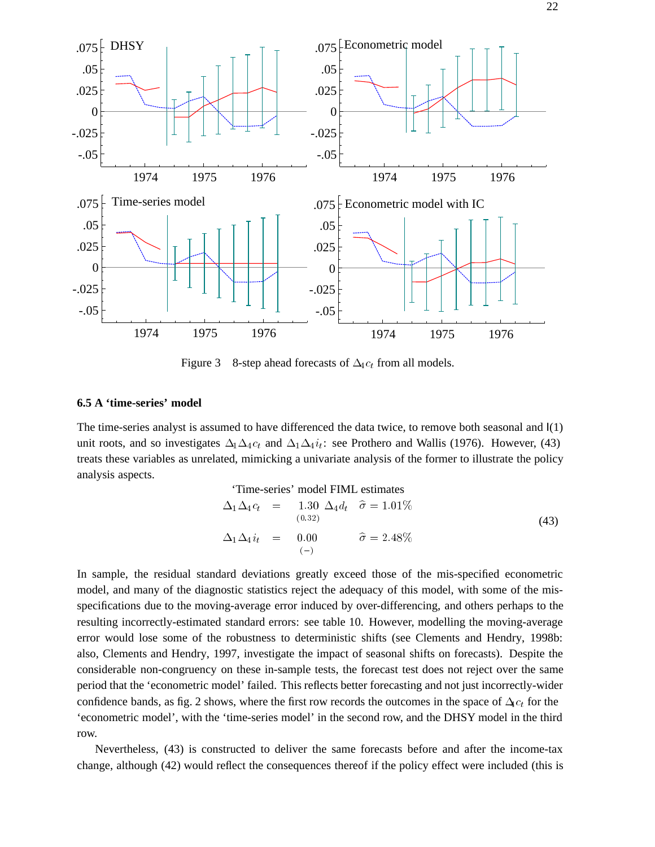

Figure 3 8-step ahead forecasts of  $\Delta_4c_t$  from all models.

### **6.5 A 'time-series' model**

The time-series analyst is assumed to have differenced the data twice, to remove both seasonal and  $I(1)$ unit roots, and so investigates  $\Delta_1 \Delta_4 c_t$  and  $\Delta_1 \Delta_4 i_t$ : see Prothero and Wallis (1976). However, (43) treats these variables as unrelated, mimicking a univariate analysis of the former to illustrate the policy analysis aspects.

$$
\begin{array}{rcl}\n\text{Time-series'} \text{ model FIML estimates} \\
\Delta_1 \Delta_4 c_t & = & 1.30 \ \Delta_4 d_t \quad \hat{\sigma} = 1.01\% \\
& & (0.32) \\
\Delta_1 \Delta_4 i_t & = & 0.00 \quad \hat{\sigma} = 2.48\%\n\end{array} \tag{43}
$$

In sample, the residual standard deviations greatly exceed those of the mis-specified econometric model, and many of the diagnostic statistics reject the adequacy of this model, with some of the misspecifications due to the moving-average error induced by over-differencing, and others perhaps to the resulting incorrectly-estimated standard errors: see table 10. However, modelling the moving-average error would lose some of the robustness to deterministic shifts (see Clements and Hendry, 1998b: also, Clements and Hendry, 1997, investigate the impact of seasonal shifts on forecasts). Despite the considerable non-congruency on these in-sample tests, the forecast test does not reject over the same period that the 'econometric model' failed. This reflects better forecasting and not just incorrectly-wider confidence bands, as fig. 2 shows, where the first row records the outcomes in the space of  $\Delta c_t$  for the 'econometric model', with the 'time-series model' in the second row, and the DHSY model in the third row.

Nevertheless, (43) is constructed to deliver the same forecasts before and after the income-tax change, although (42) would reflect the consequences thereof if the policy effect were included (this is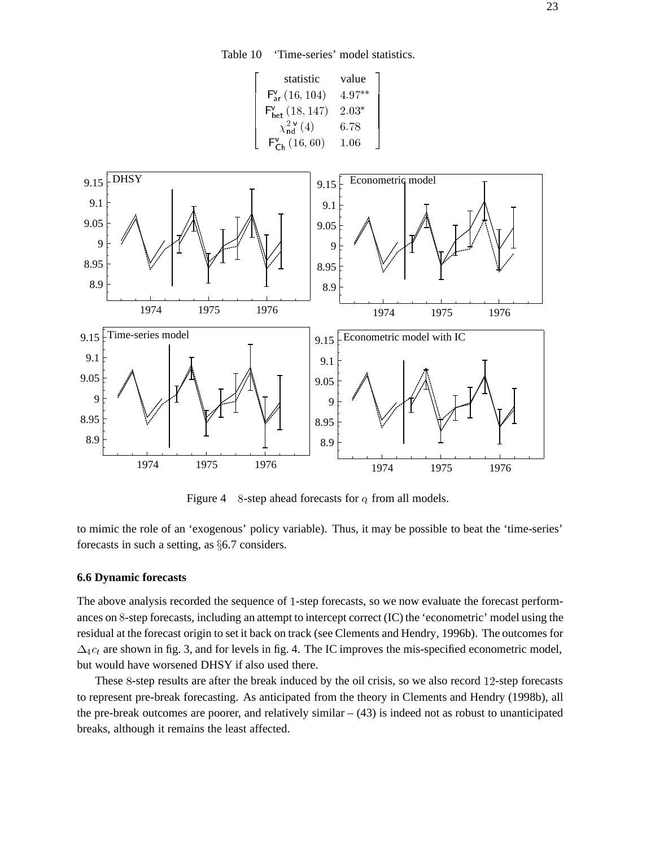Table 10 'Time-series' model statistics.



Figure 4 8-step ahead forecasts for  $c_t$  from all models.

to mimic the role of an 'exogenous' policy variable). Thus, it may be possible to beat the 'time-series' forecasts in such a setting, as  $§6.7$  considers.

## **6.6 Dynamic forecasts**

The above analysis recorded the sequence of <sup>1</sup>-step forecasts, so we now evaluate the forecast performances on <sup>8</sup>-step forecasts, including an attempt to intercept correct (IC) the 'econometric' model using the residual at the forecast origin to set it back on track (see Clements and Hendry, 1996b). The outcomes for  $\Delta_4c_t$  are shown in fig. 3, and for levels in fig. 4. The IC improves the mis-specified econometric model, but would have worsened DHSY if also used there.

These <sup>8</sup>-step results are after the break induced by the oil crisis, so we also record <sup>12</sup>-step forecasts to represent pre-break forecasting. As anticipated from the theory in Clements and Hendry (1998b), all the pre-break outcomes are poorer, and relatively similar  $- (43)$  is indeed not as robust to unanticipated breaks, although it remains the least affected.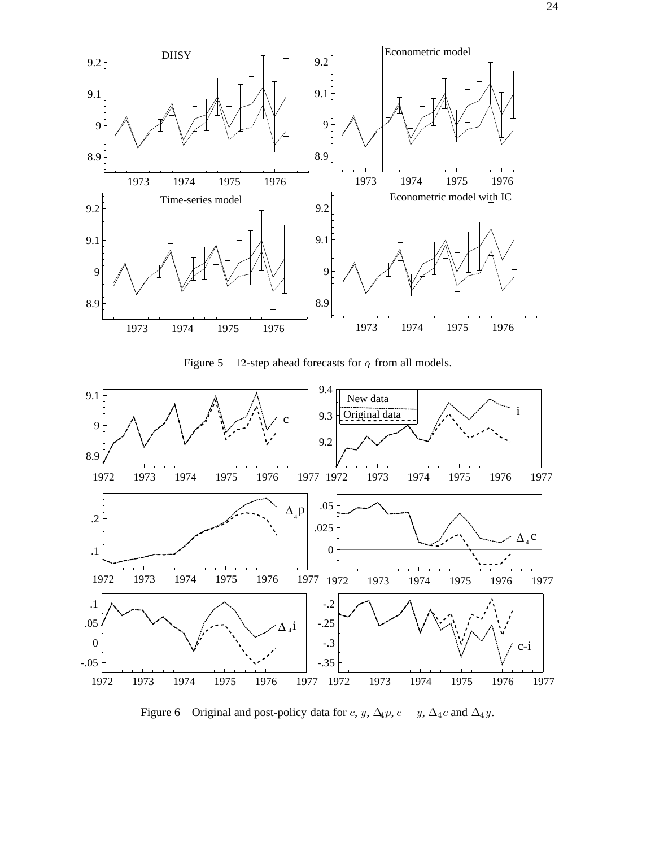

Figure 5 12-step ahead forecasts for  $c_t$  from all models.



Figure 6 Original and post-policy data for c, y,  $\Delta_4 p$ ,  $c - y$ ,  $\Delta_4 c$  and  $\Delta_4 y$ .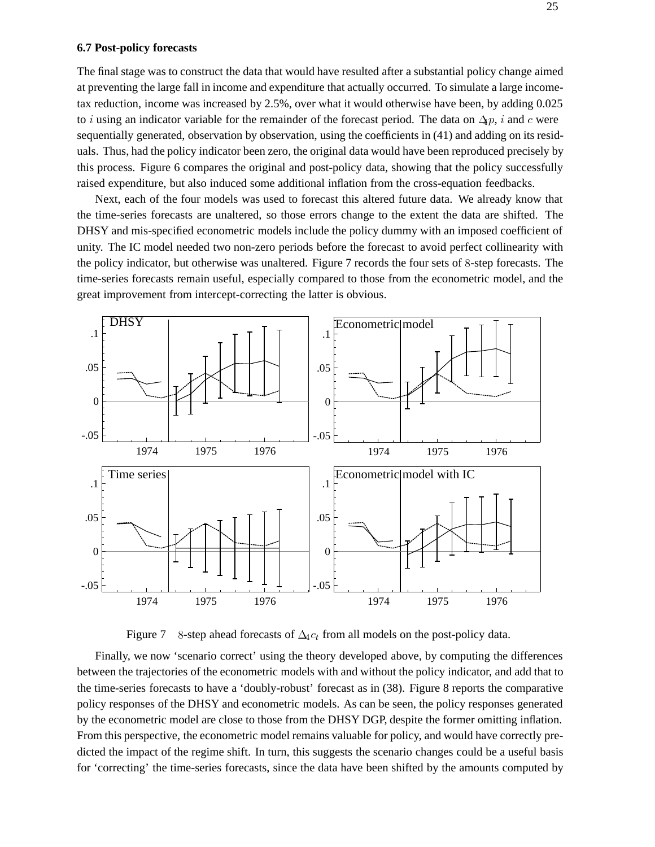#### **6.7 Post-policy forecasts**

The final stage was to construct the data that would have resulted after a substantial policy change aimed at preventing the large fall in income and expenditure that actually occurred. To simulate a large incometax reduction, income was increased by 2.5%, over what it would otherwise have been, by adding 0.025 to i using an indicator variable for the remainder of the forecast period. The data on  $\Delta p$ , i and c were sequentially generated, observation by observation, using the coefficients in (41) and adding on its residuals. Thus, had the policy indicator been zero, the original data would have been reproduced precisely by this process. Figure 6 compares the original and post-policy data, showing that the policy successfully raised expenditure, but also induced some additional inflation from the cross-equation feedbacks.

Next, each of the four models was used to forecast this altered future data. We already know that the time-series forecasts are unaltered, so those errors change to the extent the data are shifted. The DHSY and mis-specified econometric models include the policy dummy with an imposed coefficient of unity. The IC model needed two non-zero periods before the forecast to avoid perfect collinearity with the policy indicator, but otherwise was unaltered. Figure 7 records the four sets of <sup>8</sup>-step forecasts. The time-series forecasts remain useful, especially compared to those from the econometric model, and the great improvement from intercept-correcting the latter is obvious.



Figure 7 8-step ahead forecasts of  $\Delta_4 c_t$  from all models on the post-policy data.

Finally, we now 'scenario correct' using the theory developed above, by computing the differences between the trajectories of the econometric models with and without the policy indicator, and add that to the time-series forecasts to have a 'doubly-robust' forecast as in (38). Figure 8 reports the comparative policy responses of the DHSY and econometric models. As can be seen, the policy responses generated by the econometric model are close to those from the DHSY DGP, despite the former omitting inflation. From this perspective, the econometric model remains valuable for policy, and would have correctly predicted the impact of the regime shift. In turn, this suggests the scenario changes could be a useful basis for 'correcting' the time-series forecasts, since the data have been shifted by the amounts computed by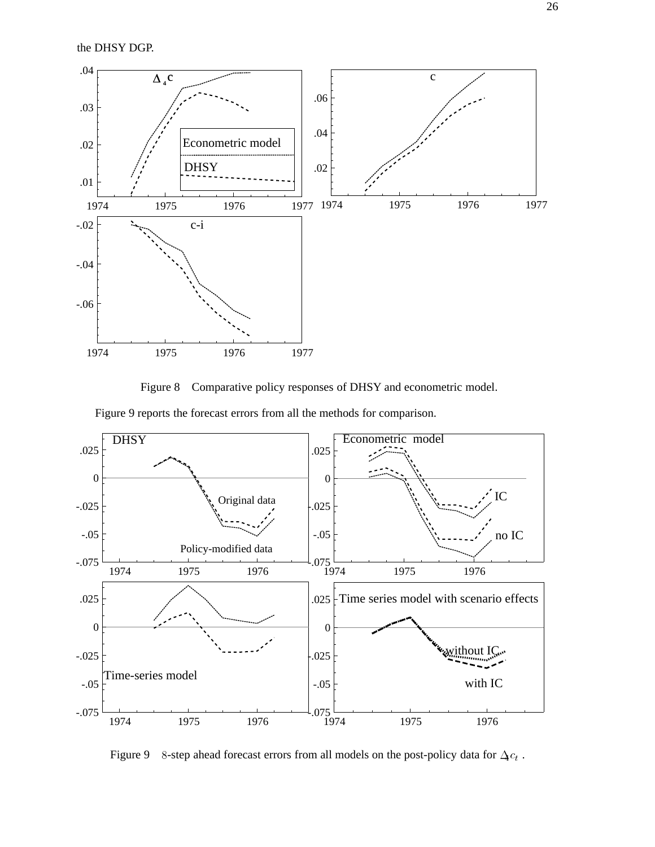the DHSY DGP.



Figure 8 Comparative policy responses of DHSY and econometric model.

Figure 9 reports the forecast errors from all the methods for comparison.



Figure 9 8-step ahead forecast errors from all models on the post-policy data for  $\Delta c_t$ .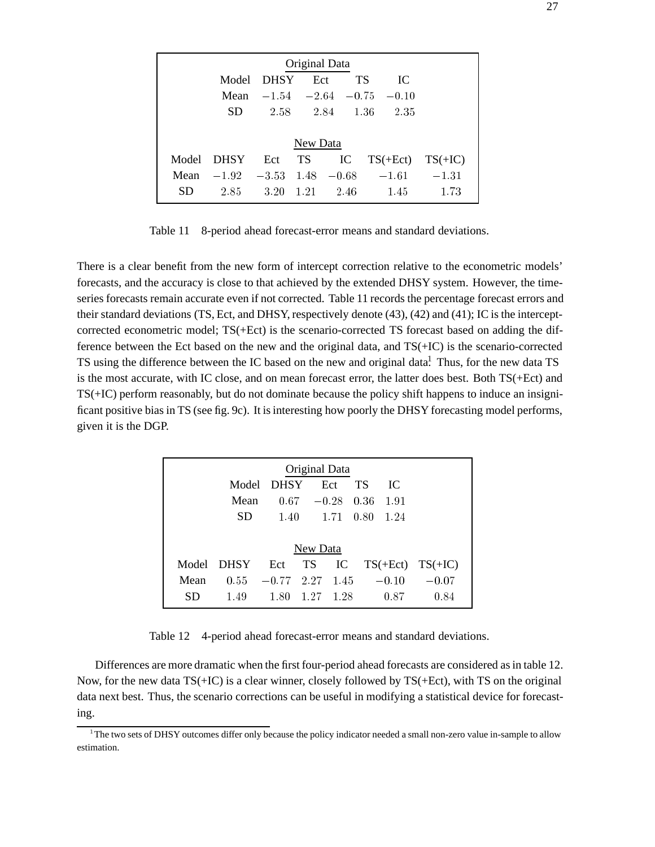| Original Data |                            |             |          |                     |            |         |           |  |
|---------------|----------------------------|-------------|----------|---------------------|------------|---------|-----------|--|
|               | Model                      | <b>DHSY</b> | Ect      |                     | <b>TS</b>  | IC      |           |  |
|               | Mean                       |             |          | $-1.54 -2.64 -0.75$ |            | $-0.10$ |           |  |
|               | SD.                        | 2.58        |          | 2.84                | 1.36       | 2.35    |           |  |
|               |                            |             |          |                     |            |         |           |  |
|               |                            |             | New Data |                     |            |         |           |  |
| Model         | <b>DHSY</b>                | Ect         | TS       | IC                  | $TS(+Ect)$ |         | $TS(+IC)$ |  |
| Mean          | $-1.92 -3.53$ 1.48 $-0.68$ |             |          |                     | $-1.61$    |         | $-1.31$   |  |
| <b>SD</b>     | 2.85                       | 3.20        | $-1.21$  | 2.46                |            | 1.45    | 1.73      |  |

Table 11 8-period ahead forecast-error means and standard deviations.

There is a clear benefit from the new form of intercept correction relative to the econometric models' forecasts, and the accuracy is close to that achieved by the extended DHSY system. However, the timeseries forecasts remain accurate even if not corrected. Table 11 records the percentage forecast errors and their standard deviations (TS, Ect, and DHSY, respectively denote (43), (42) and (41); IC is the interceptcorrected econometric model; TS(+Ect) is the scenario-corrected TS forecast based on adding the difference between the Ect based on the new and the original data, and TS(+IC) is the scenario-corrected TS using the difference between the IC based on the new and original data.<sup>1</sup> Thus, for the new data TS is the most accurate, with IC close, and on mean forecast error, the latter does best. Both TS(+Ect) and TS(+IC) perform reasonably, but do not dominate because the policy shift happens to induce an insignificant positive bias in TS (see fig. 9c). It is interesting how poorly the DHSY forecasting model performs, given it is the DGP.

| Original Data |             |              |               |      |           |         |                      |  |  |
|---------------|-------------|--------------|---------------|------|-----------|---------|----------------------|--|--|
|               | Model       | <b>DHSY</b>  |               | Ect  | <b>TS</b> | IC.     |                      |  |  |
|               | Mean        |              | $0.67 - 0.28$ |      | 0.36      | 1.91    |                      |  |  |
|               | SD.         | 1.40         |               | 1.71 | 0.80      | 1.24    |                      |  |  |
|               |             |              |               |      |           |         |                      |  |  |
| New Data      |             |              |               |      |           |         |                      |  |  |
| Model         | <b>DHSY</b> | Ect          | <b>TS</b>     | IC   |           |         | $TS(+Ect)$ $TS(+IC)$ |  |  |
| Mean          | 0.55        | $-0.77$ 2.27 |               | 1.45 |           | $-0.10$ | $-0.07$              |  |  |
| SD            | 1.49        | 1.80         | 1.27          | 1.28 |           | 0.87    | 0.84                 |  |  |

Table 12 4-period ahead forecast-error means and standard deviations.

Differences are more dramatic when the first four-period ahead forecasts are considered as in table 12. Now, for the new data TS(+IC) is a clear winner, closely followed by TS(+Ect), with TS on the original data next best. Thus, the scenario corrections can be useful in modifying a statistical device for forecasting.

<sup>1</sup> The two sets of DHSY outcomes differ only because the policy indicator needed a small non-zero value in-sample to allow estimation.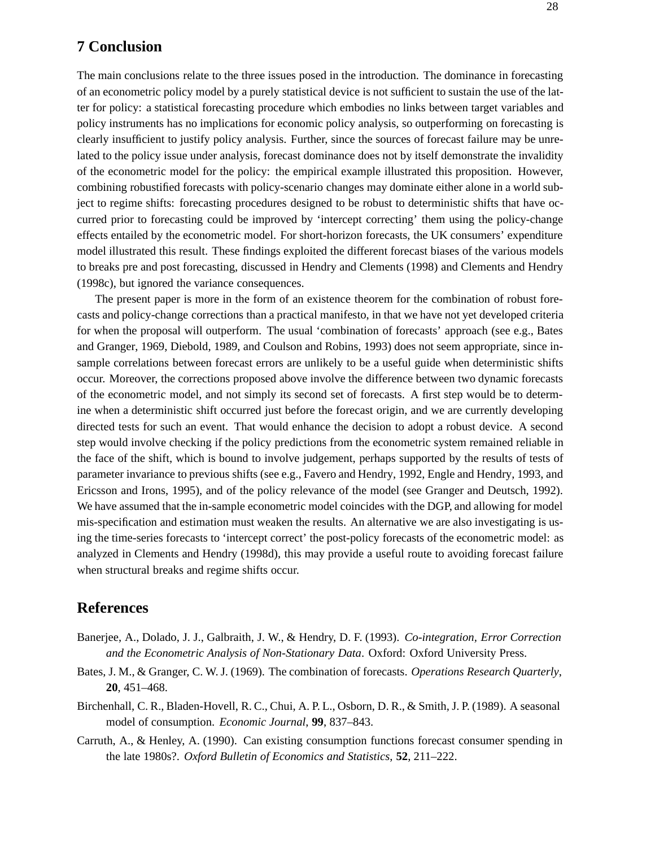## **7 Conclusion**

The main conclusions relate to the three issues posed in the introduction. The dominance in forecasting of an econometric policy model by a purely statistical device is not sufficient to sustain the use of the latter for policy: a statistical forecasting procedure which embodies no links between target variables and policy instruments has no implications for economic policy analysis, so outperforming on forecasting is clearly insufficient to justify policy analysis. Further, since the sources of forecast failure may be unrelated to the policy issue under analysis, forecast dominance does not by itself demonstrate the invalidity of the econometric model for the policy: the empirical example illustrated this proposition. However, combining robustified forecasts with policy-scenario changes may dominate either alone in a world subject to regime shifts: forecasting procedures designed to be robust to deterministic shifts that have occurred prior to forecasting could be improved by 'intercept correcting' them using the policy-change effects entailed by the econometric model. For short-horizon forecasts, the UK consumers' expenditure model illustrated this result. These findings exploited the different forecast biases of the various models to breaks pre and post forecasting, discussed in Hendry and Clements (1998) and Clements and Hendry (1998c), but ignored the variance consequences.

The present paper is more in the form of an existence theorem for the combination of robust forecasts and policy-change corrections than a practical manifesto, in that we have not yet developed criteria for when the proposal will outperform. The usual 'combination of forecasts' approach (see e.g., Bates and Granger, 1969, Diebold, 1989, and Coulson and Robins, 1993) does not seem appropriate, since insample correlations between forecast errors are unlikely to be a useful guide when deterministic shifts occur. Moreover, the corrections proposed above involve the difference between two dynamic forecasts of the econometric model, and not simply its second set of forecasts. A first step would be to determine when a deterministic shift occurred just before the forecast origin, and we are currently developing directed tests for such an event. That would enhance the decision to adopt a robust device. A second step would involve checking if the policy predictions from the econometric system remained reliable in the face of the shift, which is bound to involve judgement, perhaps supported by the results of tests of parameter invariance to previous shifts (see e.g., Favero and Hendry, 1992, Engle and Hendry, 1993, and Ericsson and Irons, 1995), and of the policy relevance of the model (see Granger and Deutsch, 1992). We have assumed that the in-sample econometric model coincides with the DGP, and allowing for model mis-specification and estimation must weaken the results. An alternative we are also investigating is using the time-series forecasts to 'intercept correct' the post-policy forecasts of the econometric model: as analyzed in Clements and Hendry (1998d), this may provide a useful route to avoiding forecast failure when structural breaks and regime shifts occur.

## **References**

- Banerjee, A., Dolado, J. J., Galbraith, J. W., & Hendry, D. F. (1993). *Co-integration, Error Correction and the Econometric Analysis of Non-Stationary Data*. Oxford: Oxford University Press.
- Bates, J. M., & Granger, C. W. J. (1969). The combination of forecasts. *Operations Research Quarterly*, **20**, 451–468.
- Birchenhall, C. R., Bladen-Hovell, R. C., Chui, A. P. L., Osborn, D. R., & Smith, J. P. (1989). A seasonal model of consumption. *Economic Journal*, **99**, 837–843.
- Carruth, A., & Henley, A. (1990). Can existing consumption functions forecast consumer spending in the late 1980s?. *Oxford Bulletin of Economics and Statistics*, **52**, 211–222.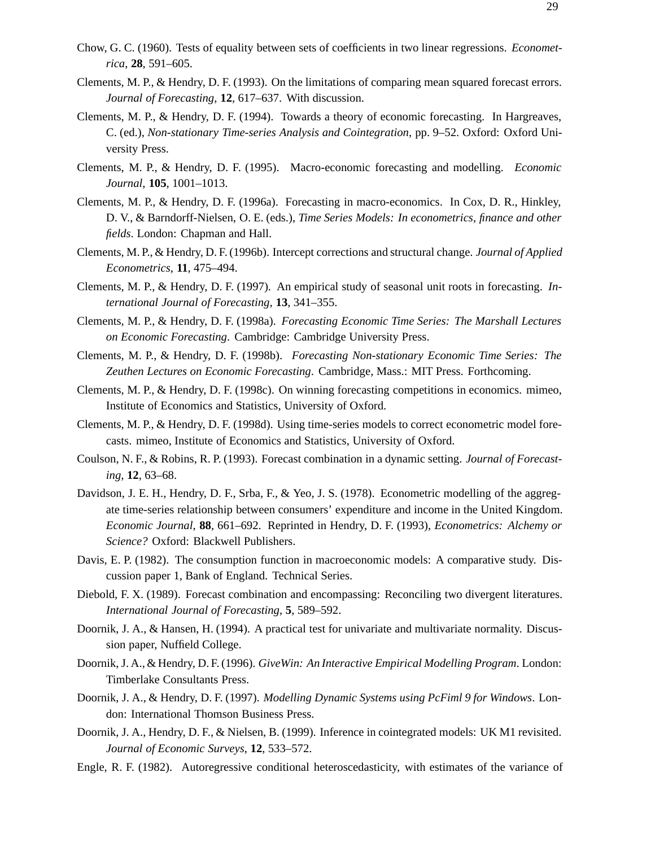- Chow, G. C. (1960). Tests of equality between sets of coefficients in two linear regressions. *Econometrica*, **28**, 591–605.
- Clements, M. P., & Hendry, D. F. (1993). On the limitations of comparing mean squared forecast errors. *Journal of Forecasting*, **12**, 617–637. With discussion.
- Clements, M. P., & Hendry, D. F. (1994). Towards a theory of economic forecasting. In Hargreaves, C. (ed.), *Non-stationary Time-series Analysis and Cointegration*, pp. 9–52. Oxford: Oxford University Press.
- Clements, M. P., & Hendry, D. F. (1995). Macro-economic forecasting and modelling. *Economic Journal*, **105**, 1001–1013.
- Clements, M. P., & Hendry, D. F. (1996a). Forecasting in macro-economics. In Cox, D. R., Hinkley, D. V., & Barndorff-Nielsen, O. E. (eds.), *Time Series Models: In econometrics, finance and other fields*. London: Chapman and Hall.
- Clements, M. P., & Hendry, D. F. (1996b). Intercept corrections and structural change. *Journal of Applied Econometrics*, **11**, 475–494.
- Clements, M. P., & Hendry, D. F. (1997). An empirical study of seasonal unit roots in forecasting. *International Journal of Forecasting*, **13**, 341–355.
- Clements, M. P., & Hendry, D. F. (1998a). *Forecasting Economic Time Series: The Marshall Lectures on Economic Forecasting*. Cambridge: Cambridge University Press.
- Clements, M. P., & Hendry, D. F. (1998b). *Forecasting Non-stationary Economic Time Series: The Zeuthen Lectures on Economic Forecasting*. Cambridge, Mass.: MIT Press. Forthcoming.
- Clements, M. P., & Hendry, D. F. (1998c). On winning forecasting competitions in economics. mimeo, Institute of Economics and Statistics, University of Oxford.
- Clements, M. P., & Hendry, D. F. (1998d). Using time-series models to correct econometric model forecasts. mimeo, Institute of Economics and Statistics, University of Oxford.
- Coulson, N. F., & Robins, R. P. (1993). Forecast combination in a dynamic setting. *Journal of Forecasting*, **12**, 63–68.
- Davidson, J. E. H., Hendry, D. F., Srba, F., & Yeo, J. S. (1978). Econometric modelling of the aggregate time-series relationship between consumers' expenditure and income in the United Kingdom. *Economic Journal*, **88**, 661–692. Reprinted in Hendry, D. F. (1993), *Econometrics: Alchemy or Science?* Oxford: Blackwell Publishers.
- Davis, E. P. (1982). The consumption function in macroeconomic models: A comparative study. Discussion paper 1, Bank of England. Technical Series.
- Diebold, F. X. (1989). Forecast combination and encompassing: Reconciling two divergent literatures. *International Journal of Forecasting*, **5**, 589–592.
- Doornik, J. A., & Hansen, H. (1994). A practical test for univariate and multivariate normality. Discussion paper, Nuffield College.
- Doornik, J. A., & Hendry, D. F. (1996). *GiveWin: An Interactive Empirical Modelling Program*. London: Timberlake Consultants Press.
- Doornik, J. A., & Hendry, D. F. (1997). *Modelling Dynamic Systems using PcFiml 9 for Windows*. London: International Thomson Business Press.
- Doornik, J. A., Hendry, D. F., & Nielsen, B. (1999). Inference in cointegrated models: UK M1 revisited. *Journal of Economic Surveys*, **12**, 533–572.
- Engle, R. F. (1982). Autoregressive conditional heteroscedasticity, with estimates of the variance of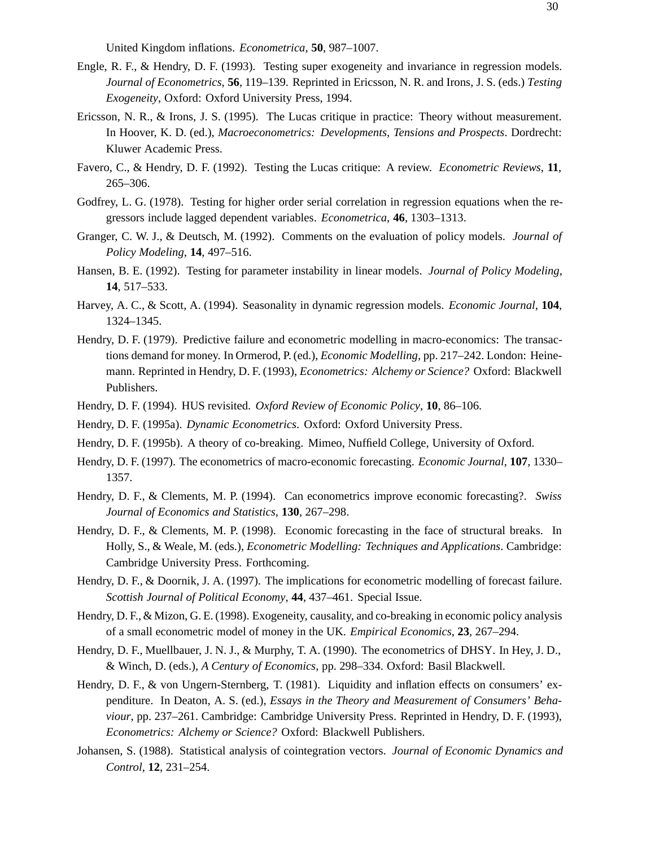United Kingdom inflations. *Econometrica*, **50**, 987–1007.

- Engle, R. F., & Hendry, D. F. (1993). Testing super exogeneity and invariance in regression models. *Journal of Econometrics*, **56**, 119–139. Reprinted in Ericsson, N. R. and Irons, J. S. (eds.) *Testing Exogeneity*, Oxford: Oxford University Press, 1994.
- Ericsson, N. R., & Irons, J. S. (1995). The Lucas critique in practice: Theory without measurement. In Hoover, K. D. (ed.), *Macroeconometrics: Developments, Tensions and Prospects*. Dordrecht: Kluwer Academic Press.
- Favero, C., & Hendry, D. F. (1992). Testing the Lucas critique: A review. *Econometric Reviews*, **11**, 265–306.
- Godfrey, L. G. (1978). Testing for higher order serial correlation in regression equations when the regressors include lagged dependent variables. *Econometrica*, **46**, 1303–1313.
- Granger, C. W. J., & Deutsch, M. (1992). Comments on the evaluation of policy models. *Journal of Policy Modeling*, **14**, 497–516.
- Hansen, B. E. (1992). Testing for parameter instability in linear models. *Journal of Policy Modeling*, **14**, 517–533.
- Harvey, A. C., & Scott, A. (1994). Seasonality in dynamic regression models. *Economic Journal*, **104**, 1324–1345.
- Hendry, D. F. (1979). Predictive failure and econometric modelling in macro-economics: The transactions demand for money. In Ormerod, P. (ed.), *Economic Modelling*, pp. 217–242. London: Heinemann. Reprinted in Hendry, D. F. (1993), *Econometrics: Alchemy or Science?* Oxford: Blackwell Publishers.
- Hendry, D. F. (1994). HUS revisited. *Oxford Review of Economic Policy*, **10**, 86–106.
- Hendry, D. F. (1995a). *Dynamic Econometrics*. Oxford: Oxford University Press.
- Hendry, D. F. (1995b). A theory of co-breaking. Mimeo, Nuffield College, University of Oxford.
- Hendry, D. F. (1997). The econometrics of macro-economic forecasting. *Economic Journal*, **107**, 1330– 1357.
- Hendry, D. F., & Clements, M. P. (1994). Can econometrics improve economic forecasting?. *Swiss Journal of Economics and Statistics*, **130**, 267–298.
- Hendry, D. F., & Clements, M. P. (1998). Economic forecasting in the face of structural breaks. In Holly, S., & Weale, M. (eds.), *Econometric Modelling: Techniques and Applications*. Cambridge: Cambridge University Press. Forthcoming.
- Hendry, D. F., & Doornik, J. A. (1997). The implications for econometric modelling of forecast failure. *Scottish Journal of Political Economy*, **44**, 437–461. Special Issue.
- Hendry, D. F., & Mizon, G. E. (1998). Exogeneity, causality, and co-breaking in economic policy analysis of a small econometric model of money in the UK. *Empirical Economics*, **23**, 267–294.
- Hendry, D. F., Muellbauer, J. N. J., & Murphy, T. A. (1990). The econometrics of DHSY. In Hey, J. D., & Winch, D. (eds.), *A Century of Economics*, pp. 298–334. Oxford: Basil Blackwell.
- Hendry, D. F., & von Ungern-Sternberg, T. (1981). Liquidity and inflation effects on consumers' expenditure. In Deaton, A. S. (ed.), *Essays in the Theory and Measurement of Consumers' Behaviour*, pp. 237–261. Cambridge: Cambridge University Press. Reprinted in Hendry, D. F. (1993), *Econometrics: Alchemy or Science?* Oxford: Blackwell Publishers.
- Johansen, S. (1988). Statistical analysis of cointegration vectors. *Journal of Economic Dynamics and Control*, **12**, 231–254.